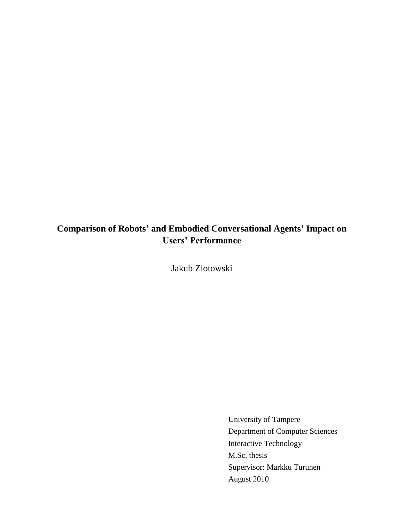# **Comparison of Robots' and Embodied Conversational Agents' Impact on Users' Performance**

Jakub Zlotowski

University of Tampere Department of Computer Sciences Interactive Technology M.Sc. thesis Supervisor: Markku Turunen August 2010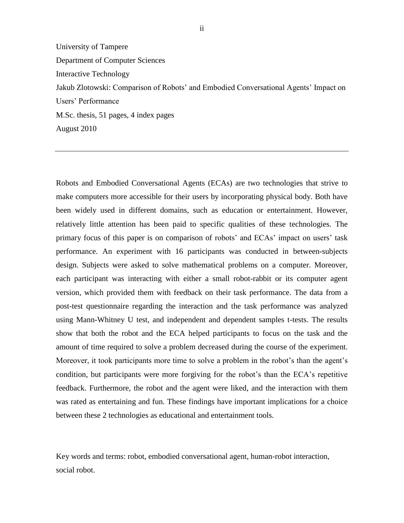University of Tampere Department of Computer Sciences Interactive Technology Jakub Zlotowski: Comparison of Robots" and Embodied Conversational Agents" Impact on Users" Performance M.Sc. thesis, 51 pages, 4 index pages August 2010

Robots and Embodied Conversational Agents (ECAs) are two technologies that strive to make computers more accessible for their users by incorporating physical body. Both have been widely used in different domains, such as education or entertainment. However, relatively little attention has been paid to specific qualities of these technologies. The primary focus of this paper is on comparison of robots' and ECAs' impact on users' task performance. An experiment with 16 participants was conducted in between-subjects design. Subjects were asked to solve mathematical problems on a computer. Moreover, each participant was interacting with either a small robot-rabbit or its computer agent version, which provided them with feedback on their task performance. The data from a post-test questionnaire regarding the interaction and the task performance was analyzed using Mann-Whitney U test, and independent and dependent samples t-tests. The results show that both the robot and the ECA helped participants to focus on the task and the amount of time required to solve a problem decreased during the course of the experiment. Moreover, it took participants more time to solve a problem in the robot's than the agent's condition, but participants were more forgiving for the robot's than the ECA's repetitive feedback. Furthermore, the robot and the agent were liked, and the interaction with them was rated as entertaining and fun. These findings have important implications for a choice between these 2 technologies as educational and entertainment tools.

Key words and terms: robot, embodied conversational agent, human-robot interaction, social robot.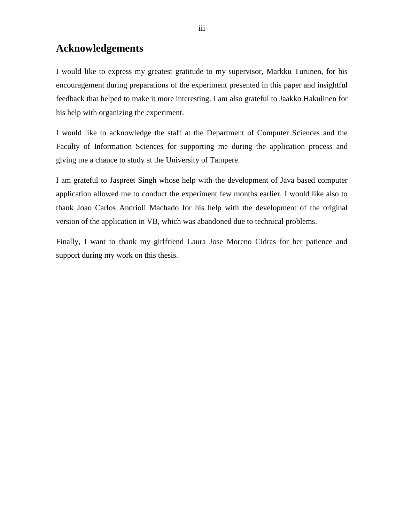# **Acknowledgements**

I would like to express my greatest gratitude to my supervisor, Markku Turunen, for his encouragement during preparations of the experiment presented in this paper and insightful feedback that helped to make it more interesting. I am also grateful to Jaakko Hakulinen for his help with organizing the experiment.

I would like to acknowledge the staff at the Department of Computer Sciences and the Faculty of Information Sciences for supporting me during the application process and giving me a chance to study at the University of Tampere.

I am grateful to Jaspreet Singh whose help with the development of Java based computer application allowed me to conduct the experiment few months earlier. I would like also to thank Joao Carlos Andrioli Machado for his help with the development of the original version of the application in VB, which was abandoned due to technical problems.

Finally, I want to thank my girlfriend Laura Jose Moreno Cidras for her patience and support during my work on this thesis.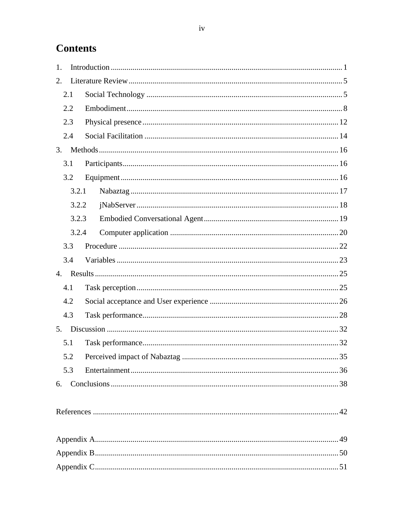# **Contents**

| 1. |       |  |  |  |  |  |  |
|----|-------|--|--|--|--|--|--|
| 2. |       |  |  |  |  |  |  |
|    | 2.1   |  |  |  |  |  |  |
|    | 2.2   |  |  |  |  |  |  |
|    | 2.3   |  |  |  |  |  |  |
|    | 2.4   |  |  |  |  |  |  |
| 3. |       |  |  |  |  |  |  |
|    | 3.1   |  |  |  |  |  |  |
|    | 3.2   |  |  |  |  |  |  |
|    | 3.2.1 |  |  |  |  |  |  |
|    | 3.2.2 |  |  |  |  |  |  |
|    | 3.2.3 |  |  |  |  |  |  |
|    | 3.2.4 |  |  |  |  |  |  |
|    | 3.3   |  |  |  |  |  |  |
|    | 3.4   |  |  |  |  |  |  |
|    |       |  |  |  |  |  |  |
|    | 4.1   |  |  |  |  |  |  |
|    | 4.2   |  |  |  |  |  |  |
|    | 4.3   |  |  |  |  |  |  |
|    |       |  |  |  |  |  |  |
|    | 5.1   |  |  |  |  |  |  |
|    | 5.2   |  |  |  |  |  |  |
|    | 5.3   |  |  |  |  |  |  |
| 6. |       |  |  |  |  |  |  |
|    |       |  |  |  |  |  |  |
|    |       |  |  |  |  |  |  |
|    |       |  |  |  |  |  |  |
|    |       |  |  |  |  |  |  |
|    |       |  |  |  |  |  |  |
|    |       |  |  |  |  |  |  |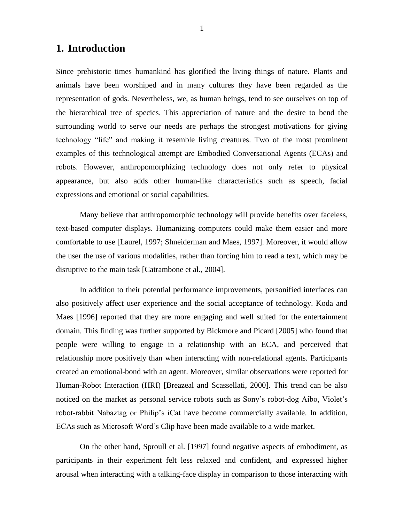## <span id="page-4-0"></span>**1. Introduction**

Since prehistoric times humankind has glorified the living things of nature. Plants and animals have been worshiped and in many cultures they have been regarded as the representation of gods. Nevertheless, we, as human beings, tend to see ourselves on top of the hierarchical tree of species. This appreciation of nature and the desire to bend the surrounding world to serve our needs are perhaps the strongest motivations for giving technology "life" and making it resemble living creatures. Two of the most prominent examples of this technological attempt are Embodied Conversational Agents (ECAs) and robots. However, anthropomorphizing technology does not only refer to physical appearance, but also adds other human-like characteristics such as speech, facial expressions and emotional or social capabilities.

Many believe that anthropomorphic technology will provide benefits over faceless, text-based computer displays. Humanizing computers could make them easier and more comfortable to use [Laurel, 1997; Shneiderman and Maes, 1997]. Moreover, it would allow the user the use of various modalities, rather than forcing him to read a text, which may be disruptive to the main task [Catrambone et al., 2004].

In addition to their potential performance improvements, personified interfaces can also positively affect user experience and the social acceptance of technology. Koda and Maes [1996] reported that they are more engaging and well suited for the entertainment domain. This finding was further supported by Bickmore and Picard [2005] who found that people were willing to engage in a relationship with an ECA, and perceived that relationship more positively than when interacting with non-relational agents. Participants created an emotional-bond with an agent. Moreover, similar observations were reported for Human-Robot Interaction (HRI) [Breazeal and Scassellati, 2000]. This trend can be also noticed on the market as personal service robots such as Sony's robot-dog Aibo, Violet's robot-rabbit Nabaztag or Philip"s iCat have become commercially available. In addition, ECAs such as Microsoft Word"s Clip have been made available to a wide market.

On the other hand, Sproull et al. [1997] found negative aspects of embodiment, as participants in their experiment felt less relaxed and confident, and expressed higher arousal when interacting with a talking-face display in comparison to those interacting with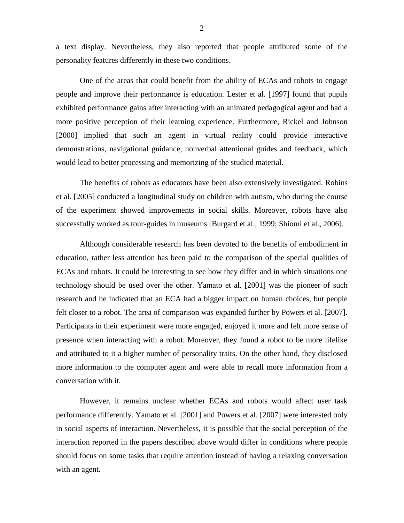a text display. Nevertheless, they also reported that people attributed some of the personality features differently in these two conditions.

One of the areas that could benefit from the ability of ECAs and robots to engage people and improve their performance is education. Lester et al. [1997] found that pupils exhibited performance gains after interacting with an animated pedagogical agent and had a more positive perception of their learning experience. Furthermore, Rickel and Johnson [2000] implied that such an agent in virtual reality could provide interactive demonstrations, navigational guidance, nonverbal attentional guides and feedback, which would lead to better processing and memorizing of the studied material.

The benefits of robots as educators have been also extensively investigated. Robins et al. [2005] conducted a longitudinal study on children with autism, who during the course of the experiment showed improvements in social skills. Moreover, robots have also successfully worked as tour-guides in museums [Burgard et al., 1999; Shiomi et al., 2006].

Although considerable research has been devoted to the benefits of embodiment in education, rather less attention has been paid to the comparison of the special qualities of ECAs and robots. It could be interesting to see how they differ and in which situations one technology should be used over the other. Yamato et al. [2001] was the pioneer of such research and he indicated that an ECA had a bigger impact on human choices, but people felt closer to a robot. The area of comparison was expanded further by Powers et al. [2007]. Participants in their experiment were more engaged, enjoyed it more and felt more sense of presence when interacting with a robot. Moreover, they found a robot to be more lifelike and attributed to it a higher number of personality traits. On the other hand, they disclosed more information to the computer agent and were able to recall more information from a conversation with it.

However, it remains unclear whether ECAs and robots would affect user task performance differently. Yamato et al. [2001] and Powers et al. [2007] were interested only in social aspects of interaction. Nevertheless, it is possible that the social perception of the interaction reported in the papers described above would differ in conditions where people should focus on some tasks that require attention instead of having a relaxing conversation with an agent.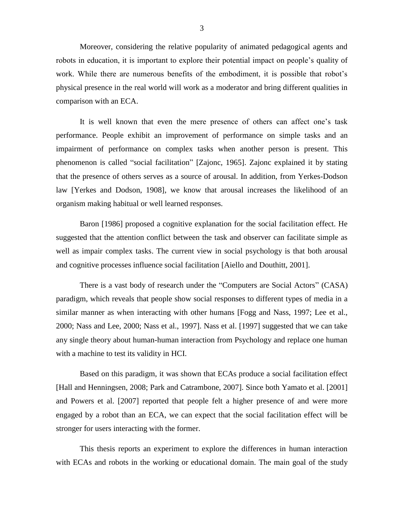Moreover, considering the relative popularity of animated pedagogical agents and robots in education, it is important to explore their potential impact on people"s quality of work. While there are numerous benefits of the embodiment, it is possible that robot's physical presence in the real world will work as a moderator and bring different qualities in comparison with an ECA.

It is well known that even the mere presence of others can affect one"s task performance. People exhibit an improvement of performance on simple tasks and an impairment of performance on complex tasks when another person is present. This phenomenon is called "social facilitation" [Zajonc, 1965]. Zajonc explained it by stating that the presence of others serves as a source of arousal. In addition, from Yerkes-Dodson law [Yerkes and Dodson, 1908], we know that arousal increases the likelihood of an organism making habitual or well learned responses.

Baron [1986] proposed a cognitive explanation for the social facilitation effect. He suggested that the attention conflict between the task and observer can facilitate simple as well as impair complex tasks. The current view in social psychology is that both arousal and cognitive processes influence social facilitation [Aiello and Douthitt, 2001].

There is a vast body of research under the "Computers are Social Actors" (CASA) paradigm, which reveals that people show social responses to different types of media in a similar manner as when interacting with other humans [Fogg and Nass, 1997; Lee et al., 2000; Nass and Lee, 2000; Nass et al., 1997]. Nass et al. [1997] suggested that we can take any single theory about human-human interaction from Psychology and replace one human with a machine to test its validity in HCI.

Based on this paradigm, it was shown that ECAs produce a social facilitation effect [Hall and Henningsen, 2008; Park and Catrambone, 2007]. Since both Yamato et al. [2001] and Powers et al. [2007] reported that people felt a higher presence of and were more engaged by a robot than an ECA, we can expect that the social facilitation effect will be stronger for users interacting with the former.

This thesis reports an experiment to explore the differences in human interaction with ECAs and robots in the working or educational domain. The main goal of the study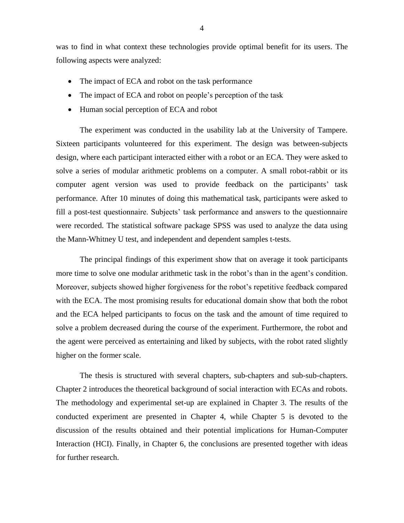was to find in what context these technologies provide optimal benefit for its users. The following aspects were analyzed:

- The impact of ECA and robot on the task performance
- The impact of ECA and robot on people's perception of the task
- Human social perception of ECA and robot

The experiment was conducted in the usability lab at the University of Tampere. Sixteen participants volunteered for this experiment. The design was between-subjects design, where each participant interacted either with a robot or an ECA. They were asked to solve a series of modular arithmetic problems on a computer. A small robot-rabbit or its computer agent version was used to provide feedback on the participants' task performance. After 10 minutes of doing this mathematical task, participants were asked to fill a post-test questionnaire. Subjects' task performance and answers to the questionnaire were recorded. The statistical software package SPSS was used to analyze the data using the Mann-Whitney U test, and independent and dependent samples t-tests.

The principal findings of this experiment show that on average it took participants more time to solve one modular arithmetic task in the robot"s than in the agent"s condition. Moreover, subjects showed higher forgiveness for the robot"s repetitive feedback compared with the ECA. The most promising results for educational domain show that both the robot and the ECA helped participants to focus on the task and the amount of time required to solve a problem decreased during the course of the experiment. Furthermore, the robot and the agent were perceived as entertaining and liked by subjects, with the robot rated slightly higher on the former scale.

The thesis is structured with several chapters, sub-chapters and sub-sub-chapters. Chapter 2 introduces the theoretical background of social interaction with ECAs and robots. The methodology and experimental set-up are explained in Chapter 3. The results of the conducted experiment are presented in Chapter 4, while Chapter 5 is devoted to the discussion of the results obtained and their potential implications for Human-Computer Interaction (HCI). Finally, in Chapter 6, the conclusions are presented together with ideas for further research.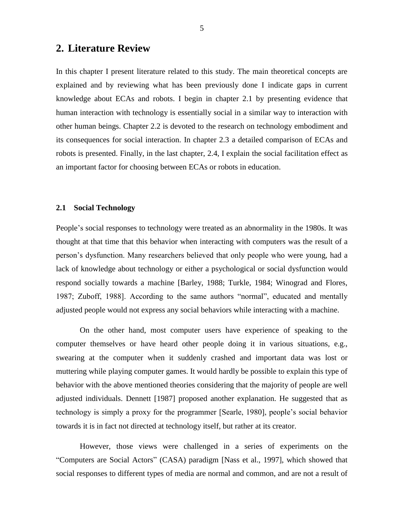### <span id="page-8-0"></span>**2. Literature Review**

In this chapter I present literature related to this study. The main theoretical concepts are explained and by reviewing what has been previously done I indicate gaps in current knowledge about ECAs and robots. I begin in chapter 2.1 by presenting evidence that human interaction with technology is essentially social in a similar way to interaction with other human beings. Chapter 2.2 is devoted to the research on technology embodiment and its consequences for social interaction. In chapter 2.3 a detailed comparison of ECAs and robots is presented. Finally, in the last chapter, 2.4, I explain the social facilitation effect as an important factor for choosing between ECAs or robots in education.

#### <span id="page-8-1"></span>**2.1 Social Technology**

People"s social responses to technology were treated as an abnormality in the 1980s. It was thought at that time that this behavior when interacting with computers was the result of a person"s dysfunction. Many researchers believed that only people who were young, had a lack of knowledge about technology or either a psychological or social dysfunction would respond socially towards a machine [Barley, 1988; Turkle, 1984; Winograd and Flores, 1987; Zuboff, 1988]. According to the same authors "normal", educated and mentally adjusted people would not express any social behaviors while interacting with a machine.

On the other hand, most computer users have experience of speaking to the computer themselves or have heard other people doing it in various situations, e.g., swearing at the computer when it suddenly crashed and important data was lost or muttering while playing computer games. It would hardly be possible to explain this type of behavior with the above mentioned theories considering that the majority of people are well adjusted individuals. Dennett [1987] proposed another explanation. He suggested that as technology is simply a proxy for the programmer [Searle, 1980], people"s social behavior towards it is in fact not directed at technology itself, but rather at its creator.

However, those views were challenged in a series of experiments on the "Computers are Social Actors" (CASA) paradigm [Nass et al., 1997], which showed that social responses to different types of media are normal and common, and are not a result of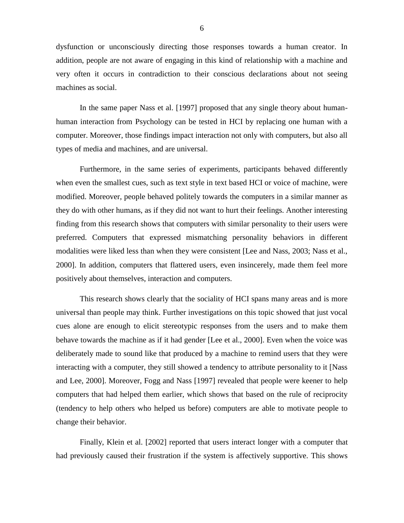dysfunction or unconsciously directing those responses towards a human creator. In addition, people are not aware of engaging in this kind of relationship with a machine and very often it occurs in contradiction to their conscious declarations about not seeing machines as social.

In the same paper Nass et al. [1997] proposed that any single theory about humanhuman interaction from Psychology can be tested in HCI by replacing one human with a computer. Moreover, those findings impact interaction not only with computers, but also all types of media and machines, and are universal.

Furthermore, in the same series of experiments, participants behaved differently when even the smallest cues, such as text style in text based HCI or voice of machine, were modified. Moreover, people behaved politely towards the computers in a similar manner as they do with other humans, as if they did not want to hurt their feelings. Another interesting finding from this research shows that computers with similar personality to their users were preferred. Computers that expressed mismatching personality behaviors in different modalities were liked less than when they were consistent [Lee and Nass, 2003; Nass et al., 2000]. In addition, computers that flattered users, even insincerely, made them feel more positively about themselves, interaction and computers.

This research shows clearly that the sociality of HCI spans many areas and is more universal than people may think. Further investigations on this topic showed that just vocal cues alone are enough to elicit stereotypic responses from the users and to make them behave towards the machine as if it had gender [Lee et al., 2000]. Even when the voice was deliberately made to sound like that produced by a machine to remind users that they were interacting with a computer, they still showed a tendency to attribute personality to it [Nass and Lee, 2000]. Moreover, Fogg and Nass [1997] revealed that people were keener to help computers that had helped them earlier, which shows that based on the rule of reciprocity (tendency to help others who helped us before) computers are able to motivate people to change their behavior.

Finally, Klein et al. [2002] reported that users interact longer with a computer that had previously caused their frustration if the system is affectively supportive. This shows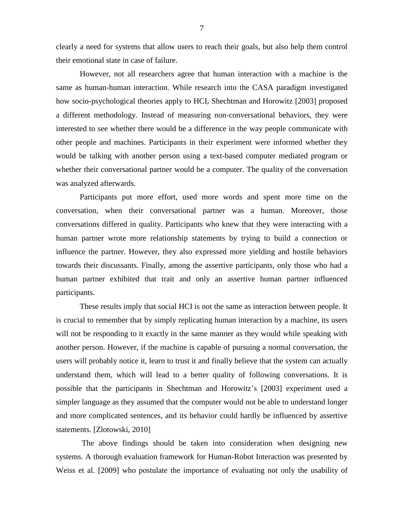clearly a need for systems that allow users to reach their goals, but also help them control their emotional state in case of failure.

However, not all researchers agree that human interaction with a machine is the same as human-human interaction. While research into the CASA paradigm investigated how socio-psychological theories apply to HCI, Shechtman and Horowitz [2003] proposed a different methodology. Instead of measuring non-conversational behaviors, they were interested to see whether there would be a difference in the way people communicate with other people and machines. Participants in their experiment were informed whether they would be talking with another person using a text-based computer mediated program or whether their conversational partner would be a computer. The quality of the conversation was analyzed afterwards.

Participants put more effort, used more words and spent more time on the conversation, when their conversational partner was a human. Moreover, those conversations differed in quality. Participants who knew that they were interacting with a human partner wrote more relationship statements by trying to build a connection or influence the partner. However, they also expressed more yielding and hostile behaviors towards their discussants. Finally, among the assertive participants, only those who had a human partner exhibited that trait and only an assertive human partner influenced participants.

These results imply that social HCI is not the same as interaction between people. It is crucial to remember that by simply replicating human interaction by a machine, its users will not be responding to it exactly in the same manner as they would while speaking with another person. However, if the machine is capable of pursuing a normal conversation, the users will probably notice it, learn to trust it and finally believe that the system can actually understand them, which will lead to a better quality of following conversations. It is possible that the participants in Shechtman and Horowitz"s [2003] experiment used a simpler language as they assumed that the computer would not be able to understand longer and more complicated sentences, and its behavior could hardly be influenced by assertive statements. [Zlotowski, 2010]

The above findings should be taken into consideration when designing new systems. A thorough evaluation framework for Human-Robot Interaction was presented by Weiss et al. [2009] who postulate the importance of evaluating not only the usability of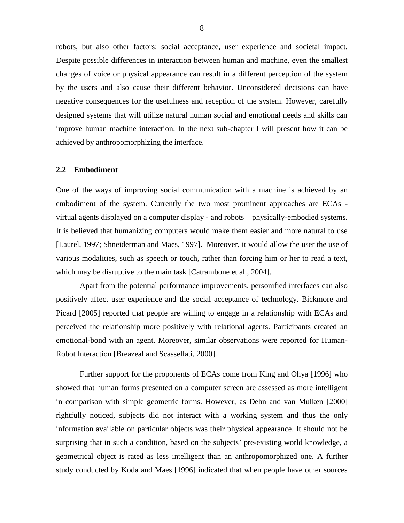robots, but also other factors: social acceptance, user experience and societal impact. Despite possible differences in interaction between human and machine, even the smallest changes of voice or physical appearance can result in a different perception of the system by the users and also cause their different behavior. Unconsidered decisions can have negative consequences for the usefulness and reception of the system. However, carefully designed systems that will utilize natural human social and emotional needs and skills can improve human machine interaction. In the next sub-chapter I will present how it can be achieved by anthropomorphizing the interface.

#### <span id="page-11-0"></span>**2.2 Embodiment**

One of the ways of improving social communication with a machine is achieved by an embodiment of the system. Currently the two most prominent approaches are ECAs virtual agents displayed on a computer display - and robots – physically-embodied systems. It is believed that humanizing computers would make them easier and more natural to use [Laurel, 1997; Shneiderman and Maes, 1997]. Moreover, it would allow the user the use of various modalities, such as speech or touch, rather than forcing him or her to read a text, which may be disruptive to the main task [Catrambone et al., 2004].

Apart from the potential performance improvements, personified interfaces can also positively affect user experience and the social acceptance of technology. Bickmore and Picard [2005] reported that people are willing to engage in a relationship with ECAs and perceived the relationship more positively with relational agents. Participants created an emotional-bond with an agent. Moreover, similar observations were reported for Human-Robot Interaction [Breazeal and Scassellati, 2000].

Further support for the proponents of ECAs come from King and Ohya [1996] who showed that human forms presented on a computer screen are assessed as more intelligent in comparison with simple geometric forms. However, as Dehn and van Mulken [2000] rightfully noticed, subjects did not interact with a working system and thus the only information available on particular objects was their physical appearance. It should not be surprising that in such a condition, based on the subjects' pre-existing world knowledge, a geometrical object is rated as less intelligent than an anthropomorphized one. A further study conducted by Koda and Maes [1996] indicated that when people have other sources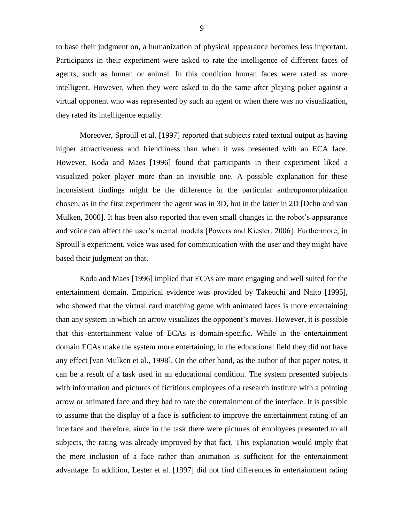to base their judgment on, a humanization of physical appearance becomes less important. Participants in their experiment were asked to rate the intelligence of different faces of agents, such as human or animal. In this condition human faces were rated as more intelligent. However, when they were asked to do the same after playing poker against a virtual opponent who was represented by such an agent or when there was no visualization, they rated its intelligence equally.

Moreover, Sproull et al. [1997] reported that subjects rated textual output as having higher attractiveness and friendliness than when it was presented with an ECA face. However, Koda and Maes [1996] found that participants in their experiment liked a visualized poker player more than an invisible one. A possible explanation for these inconsistent findings might be the difference in the particular anthropomorphization chosen, as in the first experiment the agent was in 3D, but in the latter in 2D [Dehn and van Mulken, 2000]. It has been also reported that even small changes in the robot's appearance and voice can affect the user"s mental models [Powers and Kiesler, 2006]. Furthermore, in Sproull's experiment, voice was used for communication with the user and they might have based their judgment on that.

Koda and Maes [1996] implied that ECAs are more engaging and well suited for the entertainment domain. Empirical evidence was provided by Takeuchi and Naito [1995], who showed that the virtual card matching game with animated faces is more entertaining than any system in which an arrow visualizes the opponent"s moves. However, it is possible that this entertainment value of ECAs is domain-specific. While in the entertainment domain ECAs make the system more entertaining, in the educational field they did not have any effect [van Mulken et al., 1998]. On the other hand, as the author of that paper notes, it can be a result of a task used in an educational condition. The system presented subjects with information and pictures of fictitious employees of a research institute with a pointing arrow or animated face and they had to rate the entertainment of the interface. It is possible to assume that the display of a face is sufficient to improve the entertainment rating of an interface and therefore, since in the task there were pictures of employees presented to all subjects, the rating was already improved by that fact. This explanation would imply that the mere inclusion of a face rather than animation is sufficient for the entertainment advantage. In addition, Lester et al. [1997] did not find differences in entertainment rating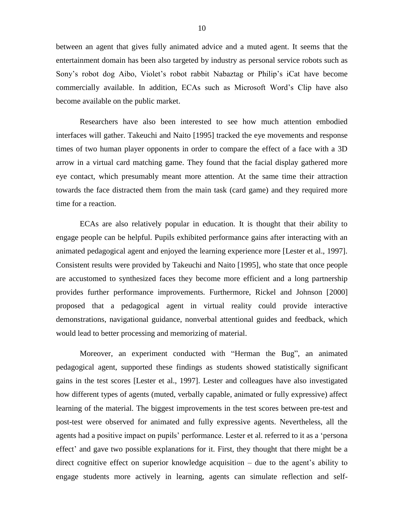between an agent that gives fully animated advice and a muted agent. It seems that the entertainment domain has been also targeted by industry as personal service robots such as Sony"s robot dog Aibo, Violet"s robot rabbit Nabaztag or Philip"s iCat have become commercially available. In addition, ECAs such as Microsoft Word"s Clip have also become available on the public market.

Researchers have also been interested to see how much attention embodied interfaces will gather. Takeuchi and Naito [1995] tracked the eye movements and response times of two human player opponents in order to compare the effect of a face with a 3D arrow in a virtual card matching game. They found that the facial display gathered more eye contact, which presumably meant more attention. At the same time their attraction towards the face distracted them from the main task (card game) and they required more time for a reaction.

ECAs are also relatively popular in education. It is thought that their ability to engage people can be helpful. Pupils exhibited performance gains after interacting with an animated pedagogical agent and enjoyed the learning experience more [Lester et al., 1997]. Consistent results were provided by Takeuchi and Naito [1995], who state that once people are accustomed to synthesized faces they become more efficient and a long partnership provides further performance improvements. Furthermore, Rickel and Johnson [2000] proposed that a pedagogical agent in virtual reality could provide interactive demonstrations, navigational guidance, nonverbal attentional guides and feedback, which would lead to better processing and memorizing of material.

Moreover, an experiment conducted with "Herman the Bug", an animated pedagogical agent, supported these findings as students showed statistically significant gains in the test scores [Lester et al., 1997]. Lester and colleagues have also investigated how different types of agents (muted, verbally capable, animated or fully expressive) affect learning of the material. The biggest improvements in the test scores between pre-test and post-test were observed for animated and fully expressive agents. Nevertheless, all the agents had a positive impact on pupils' performance. Lester et al. referred to it as a 'persona effect' and gave two possible explanations for it. First, they thought that there might be a direct cognitive effect on superior knowledge acquisition – due to the agent"s ability to engage students more actively in learning, agents can simulate reflection and self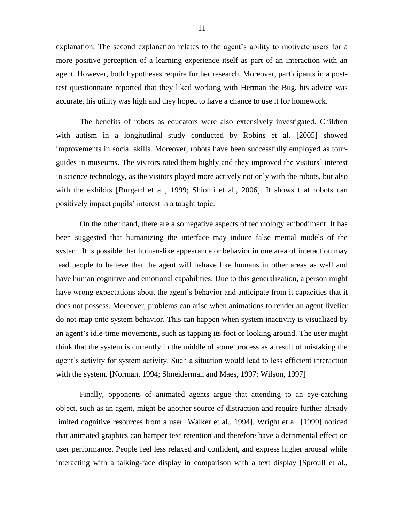explanation. The second explanation relates to the agent"s ability to motivate users for a more positive perception of a learning experience itself as part of an interaction with an agent. However, both hypotheses require further research. Moreover, participants in a posttest questionnaire reported that they liked working with Herman the Bug, his advice was accurate, his utility was high and they hoped to have a chance to use it for homework.

The benefits of robots as educators were also extensively investigated. Children with autism in a longitudinal study conducted by Robins et al. [2005] showed improvements in social skills. Moreover, robots have been successfully employed as tourguides in museums. The visitors rated them highly and they improved the visitors" interest in science technology, as the visitors played more actively not only with the robots, but also with the exhibits [Burgard et al., 1999; Shiomi et al., 2006]. It shows that robots can positively impact pupils" interest in a taught topic.

On the other hand, there are also negative aspects of technology embodiment. It has been suggested that humanizing the interface may induce false mental models of the system. It is possible that human-like appearance or behavior in one area of interaction may lead people to believe that the agent will behave like humans in other areas as well and have human cognitive and emotional capabilities. Due to this generalization, a person might have wrong expectations about the agent's behavior and anticipate from it capacities that it does not possess. Moreover, problems can arise when animations to render an agent livelier do not map onto system behavior. This can happen when system inactivity is visualized by an agent"s idle-time movements, such as tapping its foot or looking around. The user might think that the system is currently in the middle of some process as a result of mistaking the agent's activity for system activity. Such a situation would lead to less efficient interaction with the system. [Norman, 1994; Shneiderman and Maes, 1997; Wilson, 1997]

Finally, opponents of animated agents argue that attending to an eye-catching object, such as an agent, might be another source of distraction and require further already limited cognitive resources from a user [Walker et al., 1994]. Wright et al. [1999] noticed that animated graphics can hamper text retention and therefore have a detrimental effect on user performance. People feel less relaxed and confident, and express higher arousal while interacting with a talking-face display in comparison with a text display [Sproull et al.,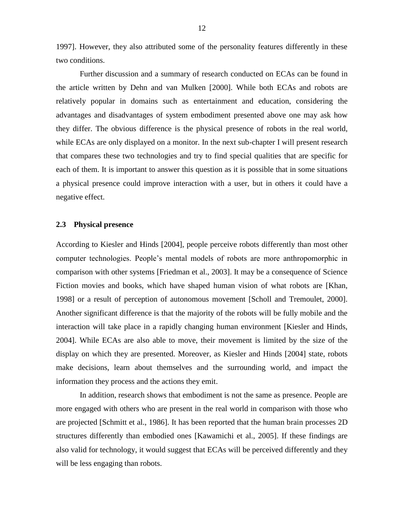1997]. However, they also attributed some of the personality features differently in these two conditions.

Further discussion and a summary of research conducted on ECAs can be found in the article written by Dehn and van Mulken [2000]. While both ECAs and robots are relatively popular in domains such as entertainment and education, considering the advantages and disadvantages of system embodiment presented above one may ask how they differ. The obvious difference is the physical presence of robots in the real world, while ECAs are only displayed on a monitor. In the next sub-chapter I will present research that compares these two technologies and try to find special qualities that are specific for each of them. It is important to answer this question as it is possible that in some situations a physical presence could improve interaction with a user, but in others it could have a negative effect.

#### <span id="page-15-0"></span>**2.3 Physical presence**

According to Kiesler and Hinds [2004], people perceive robots differently than most other computer technologies. People"s mental models of robots are more anthropomorphic in comparison with other systems [Friedman et al., 2003]. It may be a consequence of Science Fiction movies and books, which have shaped human vision of what robots are [Khan, 1998] or a result of perception of autonomous movement [Scholl and Tremoulet, 2000]. Another significant difference is that the majority of the robots will be fully mobile and the interaction will take place in a rapidly changing human environment [Kiesler and Hinds, 2004]. While ECAs are also able to move, their movement is limited by the size of the display on which they are presented. Moreover, as Kiesler and Hinds [2004] state, robots make decisions, learn about themselves and the surrounding world, and impact the information they process and the actions they emit.

In addition, research shows that embodiment is not the same as presence. People are more engaged with others who are present in the real world in comparison with those who are projected [Schmitt et al., 1986]. It has been reported that the human brain processes 2D structures differently than embodied ones [Kawamichi et al., 2005]. If these findings are also valid for technology, it would suggest that ECAs will be perceived differently and they will be less engaging than robots.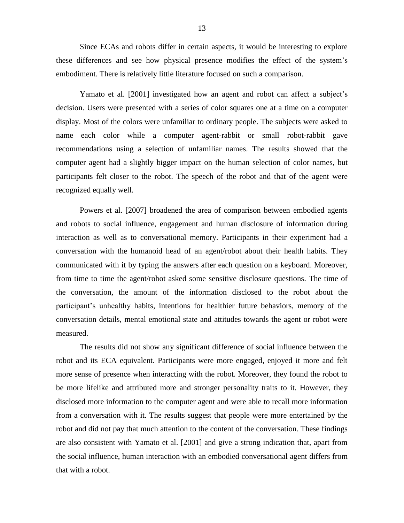Since ECAs and robots differ in certain aspects, it would be interesting to explore these differences and see how physical presence modifies the effect of the system"s embodiment. There is relatively little literature focused on such a comparison.

Yamato et al. [2001] investigated how an agent and robot can affect a subject's decision. Users were presented with a series of color squares one at a time on a computer display. Most of the colors were unfamiliar to ordinary people. The subjects were asked to name each color while a computer agent-rabbit or small robot-rabbit gave recommendations using a selection of unfamiliar names. The results showed that the computer agent had a slightly bigger impact on the human selection of color names, but participants felt closer to the robot. The speech of the robot and that of the agent were recognized equally well.

Powers et al. [2007] broadened the area of comparison between embodied agents and robots to social influence, engagement and human disclosure of information during interaction as well as to conversational memory. Participants in their experiment had a conversation with the humanoid head of an agent/robot about their health habits. They communicated with it by typing the answers after each question on a keyboard. Moreover, from time to time the agent/robot asked some sensitive disclosure questions. The time of the conversation, the amount of the information disclosed to the robot about the participant"s unhealthy habits, intentions for healthier future behaviors, memory of the conversation details, mental emotional state and attitudes towards the agent or robot were measured.

The results did not show any significant difference of social influence between the robot and its ECA equivalent. Participants were more engaged, enjoyed it more and felt more sense of presence when interacting with the robot. Moreover, they found the robot to be more lifelike and attributed more and stronger personality traits to it. However, they disclosed more information to the computer agent and were able to recall more information from a conversation with it. The results suggest that people were more entertained by the robot and did not pay that much attention to the content of the conversation. These findings are also consistent with Yamato et al. [2001] and give a strong indication that, apart from the social influence, human interaction with an embodied conversational agent differs from that with a robot.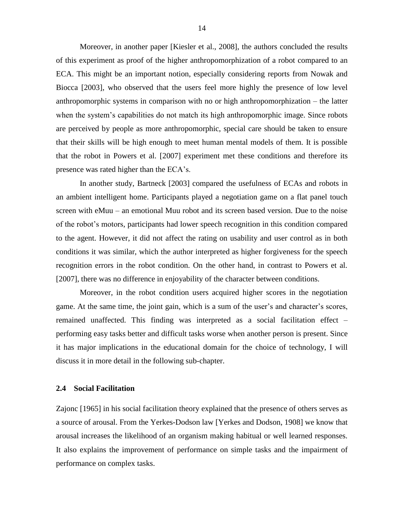Moreover, in another paper [Kiesler et al., 2008], the authors concluded the results of this experiment as proof of the higher anthropomorphization of a robot compared to an ECA. This might be an important notion, especially considering reports from Nowak and Biocca [2003], who observed that the users feel more highly the presence of low level anthropomorphic systems in comparison with no or high anthropomorphization – the latter when the system's capabilities do not match its high anthropomorphic image. Since robots are perceived by people as more anthropomorphic, special care should be taken to ensure that their skills will be high enough to meet human mental models of them. It is possible that the robot in Powers et al. [2007] experiment met these conditions and therefore its presence was rated higher than the ECA"s.

In another study, Bartneck [2003] compared the usefulness of ECAs and robots in an ambient intelligent home. Participants played a negotiation game on a flat panel touch screen with eMuu – an emotional Muu robot and its screen based version. Due to the noise of the robot"s motors, participants had lower speech recognition in this condition compared to the agent. However, it did not affect the rating on usability and user control as in both conditions it was similar, which the author interpreted as higher forgiveness for the speech recognition errors in the robot condition. On the other hand, in contrast to Powers et al. [2007], there was no difference in enjoyability of the character between conditions.

Moreover, in the robot condition users acquired higher scores in the negotiation game. At the same time, the joint gain, which is a sum of the user"s and character"s scores, remained unaffected. This finding was interpreted as a social facilitation effect – performing easy tasks better and difficult tasks worse when another person is present. Since it has major implications in the educational domain for the choice of technology, I will discuss it in more detail in the following sub-chapter.

#### <span id="page-17-0"></span>**2.4 Social Facilitation**

Zajonc [1965] in his social facilitation theory explained that the presence of others serves as a source of arousal. From the Yerkes-Dodson law [Yerkes and Dodson, 1908] we know that arousal increases the likelihood of an organism making habitual or well learned responses. It also explains the improvement of performance on simple tasks and the impairment of performance on complex tasks.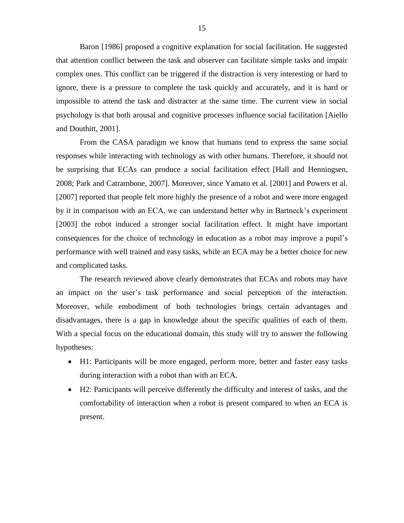Baron [1986] proposed a cognitive explanation for social facilitation. He suggested that attention conflict between the task and observer can facilitate simple tasks and impair complex ones. This conflict can be triggered if the distraction is very interesting or hard to ignore, there is a pressure to complete the task quickly and accurately, and it is hard or impossible to attend the task and distracter at the same time. The current view in social psychology is that both arousal and cognitive processes influence social facilitation [Aiello and Douthitt, 2001].

From the CASA paradigm we know that humans tend to express the same social responses while interacting with technology as with other humans. Therefore, it should not be surprising that ECAs can produce a social facilitation effect [Hall and Henningsen, 2008; Park and Catrambone, 2007]. Moreover, since Yamato et al. [2001] and Powers et al. [2007] reported that people felt more highly the presence of a robot and were more engaged by it in comparison with an ECA, we can understand better why in Bartneck"s experiment [2003] the robot induced a stronger social facilitation effect. It might have important consequences for the choice of technology in education as a robot may improve a pupil"s performance with well trained and easy tasks, while an ECA may be a better choice for new and complicated tasks.

The research reviewed above clearly demonstrates that ECAs and robots may have an impact on the user"s task performance and social perception of the interaction. Moreover, while embodiment of both technologies brings certain advantages and disadvantages, there is a gap in knowledge about the specific qualities of each of them. With a special focus on the educational domain, this study will try to answer the following hypotheses:

- H1: Participants will be more engaged, perform more, better and faster easy tasks during interaction with a robot than with an ECA.
- H2: Participants will perceive differently the difficulty and interest of tasks, and the comfortability of interaction when a robot is present compared to when an ECA is present.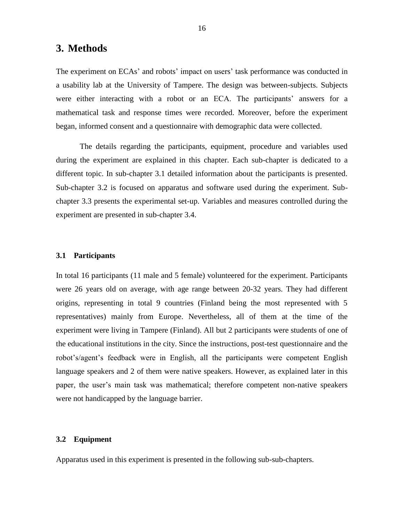### <span id="page-19-0"></span>**3. Methods**

The experiment on ECAs' and robots' impact on users' task performance was conducted in a usability lab at the University of Tampere. The design was between-subjects. Subjects were either interacting with a robot or an ECA. The participants' answers for a mathematical task and response times were recorded. Moreover, before the experiment began, informed consent and a questionnaire with demographic data were collected.

The details regarding the participants, equipment, procedure and variables used during the experiment are explained in this chapter. Each sub-chapter is dedicated to a different topic. In sub-chapter 3.1 detailed information about the participants is presented. Sub-chapter 3.2 is focused on apparatus and software used during the experiment. Subchapter 3.3 presents the experimental set-up. Variables and measures controlled during the experiment are presented in sub-chapter 3.4.

#### <span id="page-19-1"></span>**3.1 Participants**

In total 16 participants (11 male and 5 female) volunteered for the experiment. Participants were 26 years old on average, with age range between 20-32 years. They had different origins, representing in total 9 countries (Finland being the most represented with 5 representatives) mainly from Europe. Nevertheless, all of them at the time of the experiment were living in Tampere (Finland). All but 2 participants were students of one of the educational institutions in the city. Since the instructions, post-test questionnaire and the robot"s/agent"s feedback were in English, all the participants were competent English language speakers and 2 of them were native speakers. However, as explained later in this paper, the user"s main task was mathematical; therefore competent non-native speakers were not handicapped by the language barrier.

#### <span id="page-19-2"></span>**3.2 Equipment**

Apparatus used in this experiment is presented in the following sub-sub-chapters.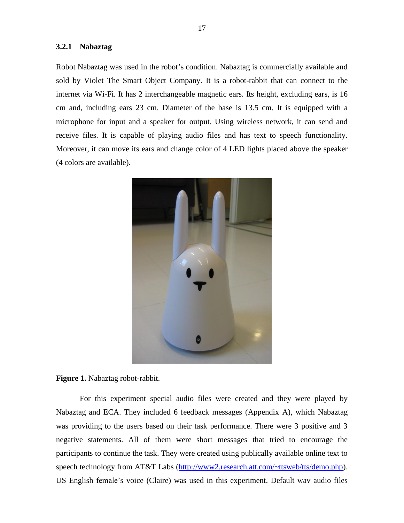#### <span id="page-20-0"></span>**3.2.1 Nabaztag**

Robot Nabaztag was used in the robot"s condition. Nabaztag is commercially available and sold by Violet The Smart Object Company. It is a robot-rabbit that can connect to the internet via Wi-Fi. It has 2 interchangeable magnetic ears. Its height, excluding ears, is 16 cm and, including ears 23 cm. Diameter of the base is 13.5 cm. It is equipped with a microphone for input and a speaker for output. Using wireless network, it can send and receive files. It is capable of playing audio files and has text to speech functionality. Moreover, it can move its ears and change color of 4 LED lights placed above the speaker (4 colors are available).



**Figure 1.** Nabaztag robot-rabbit.

For this experiment special audio files were created and they were played by Nabaztag and ECA. They included 6 feedback messages (Appendix A), which Nabaztag was providing to the users based on their task performance. There were 3 positive and 3 negative statements. All of them were short messages that tried to encourage the participants to continue the task. They were created using publically available online text to speech technology from AT&T Labs [\(http://www2.research.att.com/~ttsweb/tts/demo.php\)](http://www2.research.att.com/~ttsweb/tts/demo.php). US English female"s voice (Claire) was used in this experiment. Default wav audio files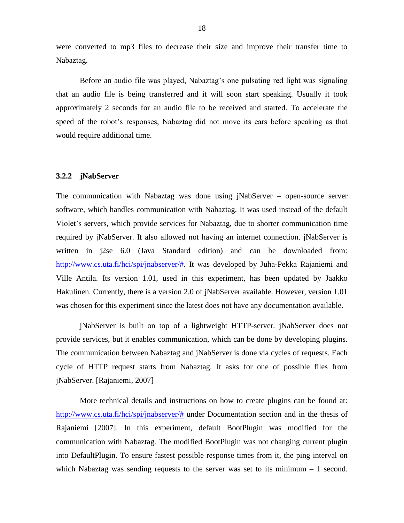were converted to mp3 files to decrease their size and improve their transfer time to Nabaztag.

Before an audio file was played, Nabaztag"s one pulsating red light was signaling that an audio file is being transferred and it will soon start speaking. Usually it took approximately 2 seconds for an audio file to be received and started. To accelerate the speed of the robot"s responses, Nabaztag did not move its ears before speaking as that would require additional time.

#### <span id="page-21-0"></span>**3.2.2 jNabServer**

The communication with Nabaztag was done using jNabServer – open-source server software, which handles communication with Nabaztag. It was used instead of the default Violet"s servers, which provide services for Nabaztag, due to shorter communication time required by jNabServer. It also allowed not having an internet connection. jNabServer is written in j2se 6.0 (Java Standard edition) and can be downloaded from: [http://www.cs.uta.fi/hci/spi/jnabserver/#.](http://www.cs.uta.fi/hci/spi/jnabserver/) It was developed by Juha-Pekka Rajaniemi and Ville Antila. Its version 1.01, used in this experiment, has been updated by Jaakko Hakulinen. Currently, there is a version 2.0 of jNabServer available. However, version 1.01 was chosen for this experiment since the latest does not have any documentation available.

jNabServer is built on top of a lightweight HTTP-server. jNabServer does not provide services, but it enables communication, which can be done by developing plugins. The communication between Nabaztag and jNabServer is done via cycles of requests. Each cycle of HTTP request starts from Nabaztag. It asks for one of possible files from jNabServer. [Rajaniemi, 2007]

More technical details and instructions on how to create plugins can be found at: [http://www.cs.uta.fi/hci/spi/jnabserver/#](http://www.cs.uta.fi/hci/spi/jnabserver/) under Documentation section and in the thesis of Rajaniemi [2007]. In this experiment, default BootPlugin was modified for the communication with Nabaztag. The modified BootPlugin was not changing current plugin into DefaultPlugin. To ensure fastest possible response times from it, the ping interval on which Nabaztag was sending requests to the server was set to its minimum  $-1$  second.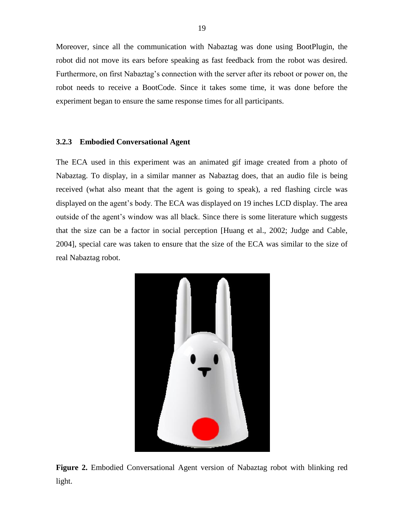Moreover, since all the communication with Nabaztag was done using BootPlugin, the robot did not move its ears before speaking as fast feedback from the robot was desired. Furthermore, on first Nabaztag's connection with the server after its reboot or power on, the robot needs to receive a BootCode. Since it takes some time, it was done before the experiment began to ensure the same response times for all participants.

#### <span id="page-22-0"></span>**3.2.3 Embodied Conversational Agent**

The ECA used in this experiment was an animated gif image created from a photo of Nabaztag. To display, in a similar manner as Nabaztag does, that an audio file is being received (what also meant that the agent is going to speak), a red flashing circle was displayed on the agent's body. The ECA was displayed on 19 inches LCD display. The area outside of the agent"s window was all black. Since there is some literature which suggests that the size can be a factor in social perception [Huang et al., 2002; Judge and Cable, 2004], special care was taken to ensure that the size of the ECA was similar to the size of real Nabaztag robot.



**Figure 2.** Embodied Conversational Agent version of Nabaztag robot with blinking red light.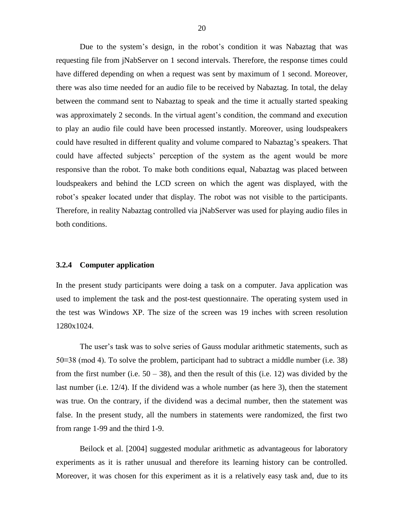Due to the system's design, in the robot's condition it was Nabaztag that was requesting file from jNabServer on 1 second intervals. Therefore, the response times could have differed depending on when a request was sent by maximum of 1 second. Moreover, there was also time needed for an audio file to be received by Nabaztag. In total, the delay between the command sent to Nabaztag to speak and the time it actually started speaking was approximately 2 seconds. In the virtual agent's condition, the command and execution to play an audio file could have been processed instantly. Moreover, using loudspeakers could have resulted in different quality and volume compared to Nabaztag"s speakers. That could have affected subjects' perception of the system as the agent would be more responsive than the robot. To make both conditions equal, Nabaztag was placed between loudspeakers and behind the LCD screen on which the agent was displayed, with the robot"s speaker located under that display. The robot was not visible to the participants. Therefore, in reality Nabaztag controlled via jNabServer was used for playing audio files in both conditions.

#### <span id="page-23-0"></span>**3.2.4 Computer application**

In the present study participants were doing a task on a computer. Java application was used to implement the task and the post-test questionnaire. The operating system used in the test was Windows XP. The size of the screen was 19 inches with screen resolution 1280x1024.

The user's task was to solve series of Gauss modular arithmetic statements, such as 50≡38 (mod 4). To solve the problem, participant had to subtract a middle number (i.e. 38) from the first number (i.e.  $50 - 38$ ), and then the result of this (i.e. 12) was divided by the last number (i.e. 12/4). If the dividend was a whole number (as here 3), then the statement was true. On the contrary, if the dividend was a decimal number, then the statement was false. In the present study, all the numbers in statements were randomized, the first two from range 1-99 and the third 1-9.

Beilock et al. [2004] suggested modular arithmetic as advantageous for laboratory experiments as it is rather unusual and therefore its learning history can be controlled. Moreover, it was chosen for this experiment as it is a relatively easy task and, due to its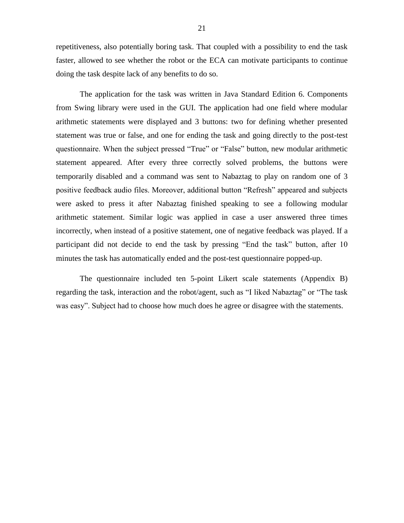repetitiveness, also potentially boring task. That coupled with a possibility to end the task faster, allowed to see whether the robot or the ECA can motivate participants to continue doing the task despite lack of any benefits to do so.

The application for the task was written in Java Standard Edition 6. Components from Swing library were used in the GUI. The application had one field where modular arithmetic statements were displayed and 3 buttons: two for defining whether presented statement was true or false, and one for ending the task and going directly to the post-test questionnaire. When the subject pressed "True" or "False" button, new modular arithmetic statement appeared. After every three correctly solved problems, the buttons were temporarily disabled and a command was sent to Nabaztag to play on random one of 3 positive feedback audio files. Moreover, additional button "Refresh" appeared and subjects were asked to press it after Nabaztag finished speaking to see a following modular arithmetic statement. Similar logic was applied in case a user answered three times incorrectly, when instead of a positive statement, one of negative feedback was played. If a participant did not decide to end the task by pressing "End the task" button, after 10 minutes the task has automatically ended and the post-test questionnaire popped-up.

The questionnaire included ten 5-point Likert scale statements (Appendix B) regarding the task, interaction and the robot/agent, such as "I liked Nabaztag" or "The task was easy". Subject had to choose how much does he agree or disagree with the statements.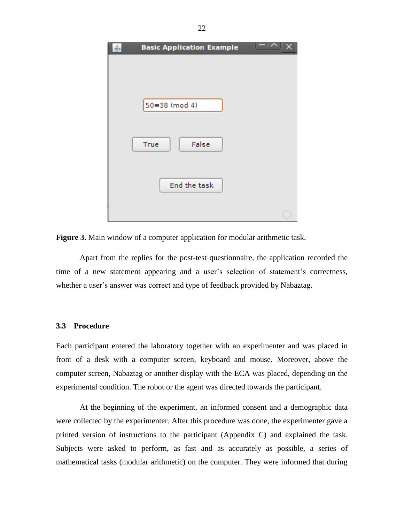| <b>Basic Application Example</b> |  |
|----------------------------------|--|
|                                  |  |
|                                  |  |
|                                  |  |
| 50=38 (mod 4)                    |  |
|                                  |  |
|                                  |  |
| True<br>False                    |  |
|                                  |  |
|                                  |  |
| End the task                     |  |
|                                  |  |
|                                  |  |

**Figure 3.** Main window of a computer application for modular arithmetic task.

Apart from the replies for the post-test questionnaire, the application recorded the time of a new statement appearing and a user's selection of statement's correctness, whether a user's answer was correct and type of feedback provided by Nabaztag.

#### <span id="page-25-0"></span>**3.3 Procedure**

Each participant entered the laboratory together with an experimenter and was placed in front of a desk with a computer screen, keyboard and mouse. Moreover, above the computer screen, Nabaztag or another display with the ECA was placed, depending on the experimental condition. The robot or the agent was directed towards the participant.

At the beginning of the experiment, an informed consent and a demographic data were collected by the experimenter. After this procedure was done, the experimenter gave a printed version of instructions to the participant (Appendix C) and explained the task. Subjects were asked to perform, as fast and as accurately as possible, a series of mathematical tasks (modular arithmetic) on the computer. They were informed that during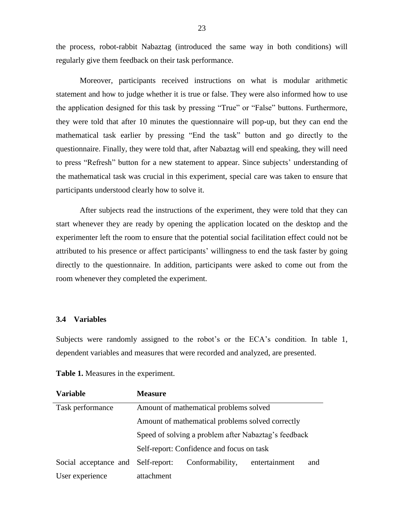the process, robot-rabbit Nabaztag (introduced the same way in both conditions) will regularly give them feedback on their task performance.

Moreover, participants received instructions on what is modular arithmetic statement and how to judge whether it is true or false. They were also informed how to use the application designed for this task by pressing "True" or "False" buttons. Furthermore, they were told that after 10 minutes the questionnaire will pop-up, but they can end the mathematical task earlier by pressing "End the task" button and go directly to the questionnaire. Finally, they were told that, after Nabaztag will end speaking, they will need to press "Refresh" button for a new statement to appear. Since subjects' understanding of the mathematical task was crucial in this experiment, special care was taken to ensure that participants understood clearly how to solve it.

After subjects read the instructions of the experiment, they were told that they can start whenever they are ready by opening the application located on the desktop and the experimenter left the room to ensure that the potential social facilitation effect could not be attributed to his presence or affect participants" willingness to end the task faster by going directly to the questionnaire. In addition, participants were asked to come out from the room whenever they completed the experiment.

#### <span id="page-26-0"></span>**3.4 Variables**

Subjects were randomly assigned to the robot's or the ECA's condition. In table 1, dependent variables and measures that were recorded and analyzed, are presented.

| <b>Variable</b>                           | <b>Measure</b>                                       |                 |               |     |
|-------------------------------------------|------------------------------------------------------|-----------------|---------------|-----|
| Task performance                          | Amount of mathematical problems solved               |                 |               |     |
|                                           | Amount of mathematical problems solved correctly     |                 |               |     |
|                                           | Speed of solving a problem after Nabaztag's feedback |                 |               |     |
| Self-report: Confidence and focus on task |                                                      |                 |               |     |
| Social acceptance and                     | Self-report:                                         | Conformability, | entertainment | and |
| User experience                           | attachment                                           |                 |               |     |

**Table 1.** Measures in the experiment.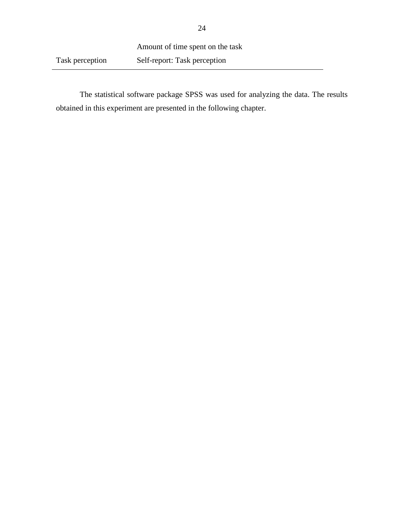The statistical software package SPSS was used for analyzing the data. The results obtained in this experiment are presented in the following chapter.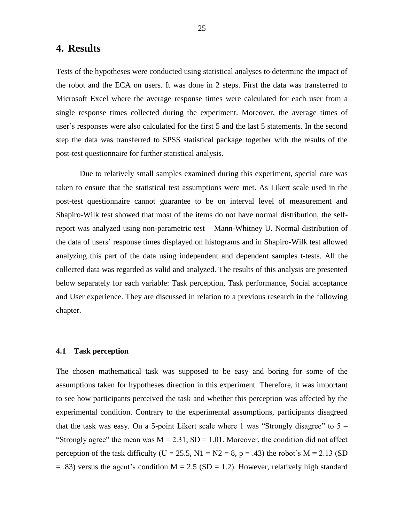### <span id="page-28-0"></span>**4. Results**

Tests of the hypotheses were conducted using statistical analyses to determine the impact of the robot and the ECA on users. It was done in 2 steps. First the data was transferred to Microsoft Excel where the average response times were calculated for each user from a single response times collected during the experiment. Moreover, the average times of user's responses were also calculated for the first 5 and the last 5 statements. In the second step the data was transferred to SPSS statistical package together with the results of the post-test questionnaire for further statistical analysis.

Due to relatively small samples examined during this experiment, special care was taken to ensure that the statistical test assumptions were met. As Likert scale used in the post-test questionnaire cannot guarantee to be on interval level of measurement and Shapiro-Wilk test showed that most of the items do not have normal distribution, the selfreport was analyzed using non-parametric test – Mann-Whitney U. Normal distribution of the data of users" response times displayed on histograms and in Shapiro-Wilk test allowed analyzing this part of the data using independent and dependent samples t-tests. All the collected data was regarded as valid and analyzed. The results of this analysis are presented below separately for each variable: Task perception, Task performance, Social acceptance and User experience. They are discussed in relation to a previous research in the following chapter.

#### <span id="page-28-1"></span>**4.1 Task perception**

The chosen mathematical task was supposed to be easy and boring for some of the assumptions taken for hypotheses direction in this experiment. Therefore, it was important to see how participants perceived the task and whether this perception was affected by the experimental condition. Contrary to the experimental assumptions, participants disagreed that the task was easy. On a 5-point Likert scale where 1 was "Strongly disagree" to  $5 -$ "Strongly agree" the mean was  $M = 2.31$ ,  $SD = 1.01$ . Moreover, the condition did not affect perception of the task difficulty (U = 25.5, N1 =  $N2 = 8$ , p = .43) the robot's M = 2.13 (SD  $=$  .83) versus the agent's condition M = 2.5 (SD = 1.2). However, relatively high standard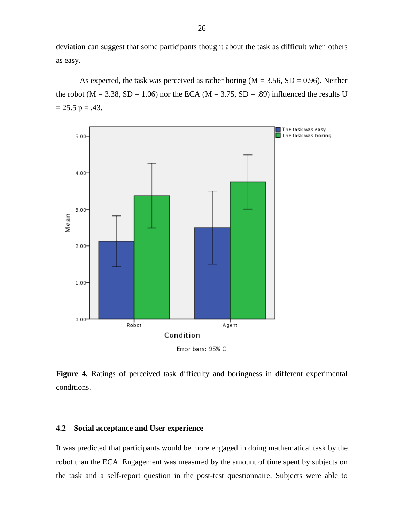deviation can suggest that some participants thought about the task as difficult when others as easy.

As expected, the task was perceived as rather boring  $(M = 3.56, SD = 0.96)$ . Neither the robot ( $M = 3.38$ ,  $SD = 1.06$ ) nor the ECA ( $M = 3.75$ ,  $SD = .89$ ) influenced the results U  $= 25.5$  p = .43.



Figure 4. Ratings of perceived task difficulty and boringness in different experimental conditions.

#### <span id="page-29-0"></span>**4.2 Social acceptance and User experience**

It was predicted that participants would be more engaged in doing mathematical task by the robot than the ECA. Engagement was measured by the amount of time spent by subjects on the task and a self-report question in the post-test questionnaire. Subjects were able to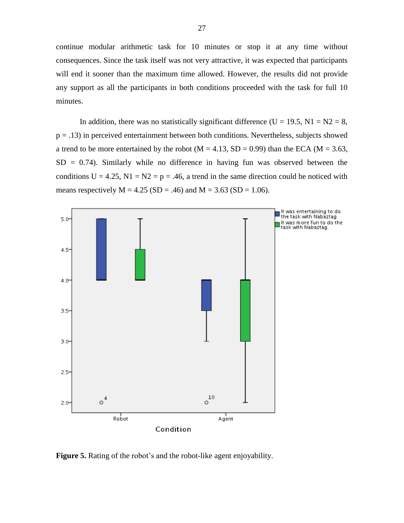continue modular arithmetic task for 10 minutes or stop it at any time without consequences. Since the task itself was not very attractive, it was expected that participants will end it sooner than the maximum time allowed. However, the results did not provide any support as all the participants in both conditions proceeded with the task for full 10 minutes.

In addition, there was no statistically significant difference (U = 19.5, N1 =  $N2 = 8$ ,  $p = .13$ ) in perceived entertainment between both conditions. Nevertheless, subjects showed a trend to be more entertained by the robot ( $M = 4.13$ , SD = 0.99) than the ECA ( $M = 3.63$ ,  $SD = 0.74$ ). Similarly while no difference in having fun was observed between the conditions  $U = 4.25$ ,  $N1 = N2 = p = .46$ , a trend in the same direction could be noticed with means respectively  $M = 4.25$  (SD = .46) and  $M = 3.63$  (SD = 1.06).



**Figure 5.** Rating of the robot's and the robot-like agent enjoyability.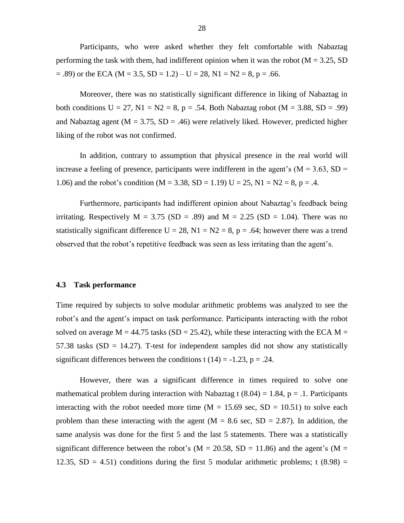Participants, who were asked whether they felt comfortable with Nabaztag performing the task with them, had indifferent opinion when it was the robot ( $M = 3.25$ , SD  $= .89$ ) or the ECA (M = 3.5, SD = 1.2) – U = 28, N1 = N2 = 8, p = .66.

Moreover, there was no statistically significant difference in liking of Nabaztag in both conditions  $U = 27$ ,  $N1 = N2 = 8$ ,  $p = .54$ . Both Nabaztag robot (M = 3.88, SD = .99) and Nabaztag agent ( $M = 3.75$ ,  $SD = .46$ ) were relatively liked. However, predicted higher liking of the robot was not confirmed.

In addition, contrary to assumption that physical presence in the real world will increase a feeling of presence, participants were indifferent in the agent's  $(M = 3.63, SD =$ 1.06) and the robot's condition (M = 3.38, SD = 1.19) U = 25, N1 = N2 = 8, p = .4.

Furthermore, participants had indifferent opinion about Nabaztag's feedback being irritating. Respectively  $M = 3.75$  (SD = .89) and  $M = 2.25$  (SD = 1.04). There was no statistically significant difference  $U = 28$ ,  $N1 = N2 = 8$ ,  $p = .64$ ; however there was a trend observed that the robot"s repetitive feedback was seen as less irritating than the agent"s.

#### <span id="page-31-0"></span>**4.3 Task performance**

Time required by subjects to solve modular arithmetic problems was analyzed to see the robot"s and the agent"s impact on task performance. Participants interacting with the robot solved on average  $M = 44.75$  tasks (SD = 25.42), while these interacting with the ECA  $M =$ 57.38 tasks  $(SD = 14.27)$ . T-test for independent samples did not show any statistically significant differences between the conditions t (14) =  $-1.23$ , p = .24.

However, there was a significant difference in times required to solve one mathematical problem during interaction with Nabaztag t  $(8.04) = 1.84$ , p = .1. Participants interacting with the robot needed more time  $(M = 15.69 \text{ sec}, SD = 10.51)$  to solve each problem than these interacting with the agent  $(M = 8.6 \text{ sec}, SD = 2.87)$ . In addition, the same analysis was done for the first 5 and the last 5 statements. There was a statistically significant difference between the robot's ( $M = 20.58$ ,  $SD = 11.86$ ) and the agent's ( $M =$ 12.35,  $SD = 4.51$ ) conditions during the first 5 modular arithmetic problems; t (8.98) =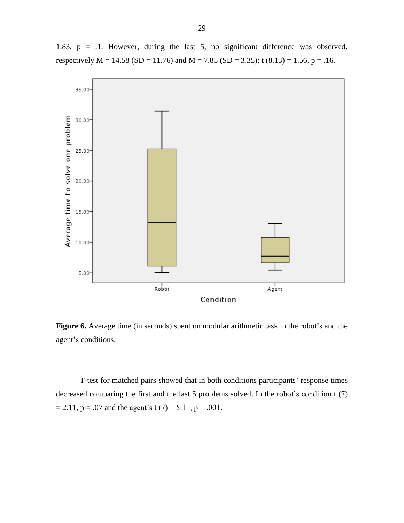

1.83, p = .1. However, during the last 5, no significant difference was observed, respectively  $M = 14.58$  (SD = 11.76) and  $M = 7.85$  (SD = 3.35); t (8.13) = 1.56, p = .16.

Condition

Agent

Figure 6. Average time (in seconds) spent on modular arithmetic task in the robot's and the agent's conditions.

Robot

T-test for matched pairs showed that in both conditions participants' response times decreased comparing the first and the last 5 problems solved. In the robot's condition  $t(7)$  $= 2.11$ ,  $p = .07$  and the agent's t (7) = 5.11,  $p = .001$ .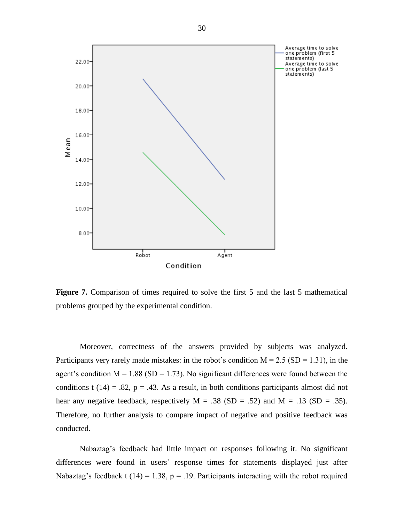

Figure 7. Comparison of times required to solve the first 5 and the last 5 mathematical problems grouped by the experimental condition.

Moreover, correctness of the answers provided by subjects was analyzed. Participants very rarely made mistakes: in the robot's condition  $M = 2.5$  (SD = 1.31), in the agent's condition  $M = 1.88$  (SD = 1.73). No significant differences were found between the conditions t (14) = .82,  $p = .43$ . As a result, in both conditions participants almost did not hear any negative feedback, respectively  $M = .38$  (SD = .52) and  $M = .13$  (SD = .35). Therefore, no further analysis to compare impact of negative and positive feedback was conducted.

Nabaztag"s feedback had little impact on responses following it. No significant differences were found in users" response times for statements displayed just after Nabaztag's feedback t (14) = 1.38, p = .19. Participants interacting with the robot required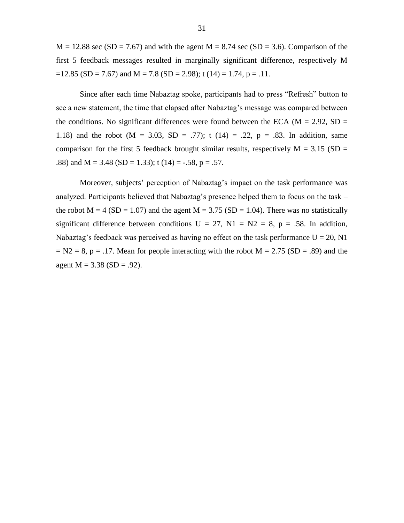$M = 12.88$  sec (SD = 7.67) and with the agent  $M = 8.74$  sec (SD = 3.6). Comparison of the first 5 feedback messages resulted in marginally significant difference, respectively M  $=12.85$  (SD = 7.67) and M = 7.8 (SD = 2.98); t (14) = 1.74, p = .11.

Since after each time Nabaztag spoke, participants had to press "Refresh" button to see a new statement, the time that elapsed after Nabaztag's message was compared between the conditions. No significant differences were found between the ECA ( $M = 2.92$ , SD = 1.18) and the robot ( $M = 3.03$ ,  $SD = .77$ ); t (14) = .22, p = .83. In addition, same comparison for the first 5 feedback brought similar results, respectively  $M = 3.15$  (SD = .88) and M = 3.48 (SD = 1.33); t (14) = -.58, p = .57.

Moreover, subjects' perception of Nabaztag's impact on the task performance was analyzed. Participants believed that Nabaztag's presence helped them to focus on the task – the robot  $M = 4$  (SD = 1.07) and the agent  $M = 3.75$  (SD = 1.04). There was no statistically significant difference between conditions  $U = 27$ ,  $N1 = N2 = 8$ ,  $p = .58$ . In addition, Nabaztag's feedback was perceived as having no effect on the task performance  $U = 20$ , N1  $= N2 = 8$ , p = .17. Mean for people interacting with the robot M = 2.75 (SD = .89) and the agent  $M = 3.38$  (SD = .92).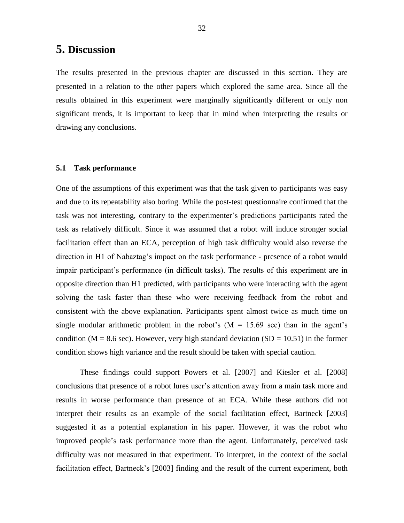## <span id="page-35-0"></span>**5. Discussion**

The results presented in the previous chapter are discussed in this section. They are presented in a relation to the other papers which explored the same area. Since all the results obtained in this experiment were marginally significantly different or only non significant trends, it is important to keep that in mind when interpreting the results or drawing any conclusions.

#### <span id="page-35-1"></span>**5.1 Task performance**

One of the assumptions of this experiment was that the task given to participants was easy and due to its repeatability also boring. While the post-test questionnaire confirmed that the task was not interesting, contrary to the experimenter"s predictions participants rated the task as relatively difficult. Since it was assumed that a robot will induce stronger social facilitation effect than an ECA, perception of high task difficulty would also reverse the direction in H1 of Nabaztag's impact on the task performance - presence of a robot would impair participant"s performance (in difficult tasks). The results of this experiment are in opposite direction than H1 predicted, with participants who were interacting with the agent solving the task faster than these who were receiving feedback from the robot and consistent with the above explanation. Participants spent almost twice as much time on single modular arithmetic problem in the robot's  $(M = 15.69 \text{ sec})$  than in the agent's condition ( $M = 8.6$  sec). However, very high standard deviation ( $SD = 10.51$ ) in the former condition shows high variance and the result should be taken with special caution.

These findings could support Powers et al. [2007] and Kiesler et al. [2008] conclusions that presence of a robot lures user"s attention away from a main task more and results in worse performance than presence of an ECA. While these authors did not interpret their results as an example of the social facilitation effect, Bartneck [2003] suggested it as a potential explanation in his paper. However, it was the robot who improved people"s task performance more than the agent. Unfortunately, perceived task difficulty was not measured in that experiment. To interpret, in the context of the social facilitation effect, Bartneck's [2003] finding and the result of the current experiment, both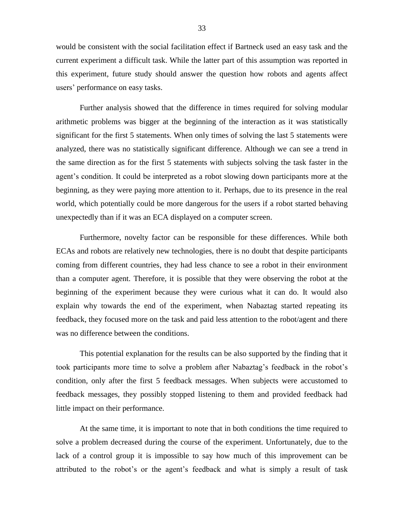would be consistent with the social facilitation effect if Bartneck used an easy task and the current experiment a difficult task. While the latter part of this assumption was reported in this experiment, future study should answer the question how robots and agents affect users" performance on easy tasks.

Further analysis showed that the difference in times required for solving modular arithmetic problems was bigger at the beginning of the interaction as it was statistically significant for the first 5 statements. When only times of solving the last 5 statements were analyzed, there was no statistically significant difference. Although we can see a trend in the same direction as for the first 5 statements with subjects solving the task faster in the agent"s condition. It could be interpreted as a robot slowing down participants more at the beginning, as they were paying more attention to it. Perhaps, due to its presence in the real world, which potentially could be more dangerous for the users if a robot started behaving unexpectedly than if it was an ECA displayed on a computer screen.

Furthermore, novelty factor can be responsible for these differences. While both ECAs and robots are relatively new technologies, there is no doubt that despite participants coming from different countries, they had less chance to see a robot in their environment than a computer agent. Therefore, it is possible that they were observing the robot at the beginning of the experiment because they were curious what it can do. It would also explain why towards the end of the experiment, when Nabaztag started repeating its feedback, they focused more on the task and paid less attention to the robot/agent and there was no difference between the conditions.

This potential explanation for the results can be also supported by the finding that it took participants more time to solve a problem after Nabaztag"s feedback in the robot"s condition, only after the first 5 feedback messages. When subjects were accustomed to feedback messages, they possibly stopped listening to them and provided feedback had little impact on their performance.

At the same time, it is important to note that in both conditions the time required to solve a problem decreased during the course of the experiment. Unfortunately, due to the lack of a control group it is impossible to say how much of this improvement can be attributed to the robot"s or the agent"s feedback and what is simply a result of task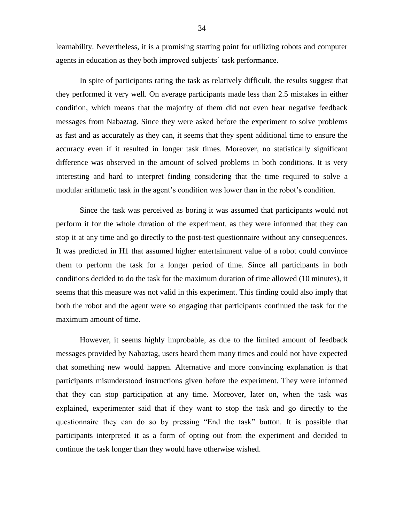learnability. Nevertheless, it is a promising starting point for utilizing robots and computer agents in education as they both improved subjects' task performance.

In spite of participants rating the task as relatively difficult, the results suggest that they performed it very well. On average participants made less than 2.5 mistakes in either condition, which means that the majority of them did not even hear negative feedback messages from Nabaztag. Since they were asked before the experiment to solve problems as fast and as accurately as they can, it seems that they spent additional time to ensure the accuracy even if it resulted in longer task times. Moreover, no statistically significant difference was observed in the amount of solved problems in both conditions. It is very interesting and hard to interpret finding considering that the time required to solve a modular arithmetic task in the agent"s condition was lower than in the robot"s condition.

Since the task was perceived as boring it was assumed that participants would not perform it for the whole duration of the experiment, as they were informed that they can stop it at any time and go directly to the post-test questionnaire without any consequences. It was predicted in H1 that assumed higher entertainment value of a robot could convince them to perform the task for a longer period of time. Since all participants in both conditions decided to do the task for the maximum duration of time allowed (10 minutes), it seems that this measure was not valid in this experiment. This finding could also imply that both the robot and the agent were so engaging that participants continued the task for the maximum amount of time.

However, it seems highly improbable, as due to the limited amount of feedback messages provided by Nabaztag, users heard them many times and could not have expected that something new would happen. Alternative and more convincing explanation is that participants misunderstood instructions given before the experiment. They were informed that they can stop participation at any time. Moreover, later on, when the task was explained, experimenter said that if they want to stop the task and go directly to the questionnaire they can do so by pressing "End the task" button. It is possible that participants interpreted it as a form of opting out from the experiment and decided to continue the task longer than they would have otherwise wished.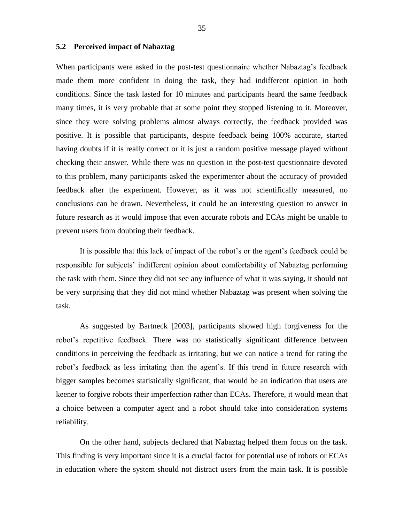#### <span id="page-38-0"></span>**5.2 Perceived impact of Nabaztag**

When participants were asked in the post-test questionnaire whether Nabaztag's feedback made them more confident in doing the task, they had indifferent opinion in both conditions. Since the task lasted for 10 minutes and participants heard the same feedback many times, it is very probable that at some point they stopped listening to it. Moreover, since they were solving problems almost always correctly, the feedback provided was positive. It is possible that participants, despite feedback being 100% accurate, started having doubts if it is really correct or it is just a random positive message played without checking their answer. While there was no question in the post-test questionnaire devoted to this problem, many participants asked the experimenter about the accuracy of provided feedback after the experiment. However, as it was not scientifically measured, no conclusions can be drawn. Nevertheless, it could be an interesting question to answer in future research as it would impose that even accurate robots and ECAs might be unable to prevent users from doubting their feedback.

It is possible that this lack of impact of the robot"s or the agent"s feedback could be responsible for subjects' indifferent opinion about comfortability of Nabaztag performing the task with them. Since they did not see any influence of what it was saying, it should not be very surprising that they did not mind whether Nabaztag was present when solving the task.

As suggested by Bartneck [2003], participants showed high forgiveness for the robot"s repetitive feedback. There was no statistically significant difference between conditions in perceiving the feedback as irritating, but we can notice a trend for rating the robot's feedback as less irritating than the agent's. If this trend in future research with bigger samples becomes statistically significant, that would be an indication that users are keener to forgive robots their imperfection rather than ECAs. Therefore, it would mean that a choice between a computer agent and a robot should take into consideration systems reliability.

On the other hand, subjects declared that Nabaztag helped them focus on the task. This finding is very important since it is a crucial factor for potential use of robots or ECAs in education where the system should not distract users from the main task. It is possible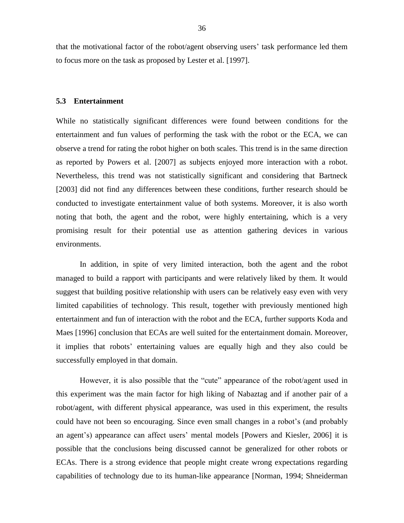that the motivational factor of the robot/agent observing users" task performance led them to focus more on the task as proposed by Lester et al. [1997].

#### <span id="page-39-0"></span>**5.3 Entertainment**

While no statistically significant differences were found between conditions for the entertainment and fun values of performing the task with the robot or the ECA, we can observe a trend for rating the robot higher on both scales. This trend is in the same direction as reported by Powers et al. [2007] as subjects enjoyed more interaction with a robot. Nevertheless, this trend was not statistically significant and considering that Bartneck [2003] did not find any differences between these conditions, further research should be conducted to investigate entertainment value of both systems. Moreover, it is also worth noting that both, the agent and the robot, were highly entertaining, which is a very promising result for their potential use as attention gathering devices in various environments.

In addition, in spite of very limited interaction, both the agent and the robot managed to build a rapport with participants and were relatively liked by them. It would suggest that building positive relationship with users can be relatively easy even with very limited capabilities of technology. This result, together with previously mentioned high entertainment and fun of interaction with the robot and the ECA, further supports Koda and Maes [1996] conclusion that ECAs are well suited for the entertainment domain. Moreover, it implies that robots" entertaining values are equally high and they also could be successfully employed in that domain.

However, it is also possible that the "cute" appearance of the robot/agent used in this experiment was the main factor for high liking of Nabaztag and if another pair of a robot/agent, with different physical appearance, was used in this experiment, the results could have not been so encouraging. Since even small changes in a robot"s (and probably an agent's) appearance can affect users' mental models [Powers and Kiesler, 2006] it is possible that the conclusions being discussed cannot be generalized for other robots or ECAs. There is a strong evidence that people might create wrong expectations regarding capabilities of technology due to its human-like appearance [Norman, 1994; Shneiderman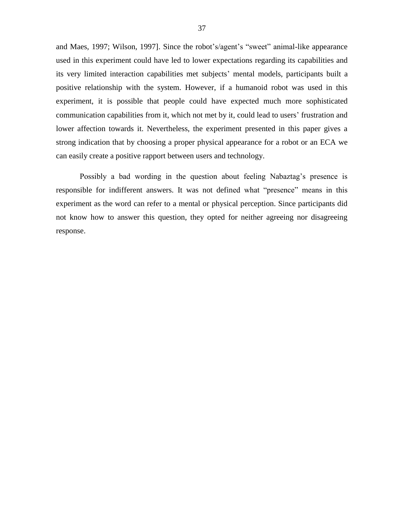and Maes, 1997; Wilson, 1997]. Since the robot's/agent's "sweet" animal-like appearance used in this experiment could have led to lower expectations regarding its capabilities and its very limited interaction capabilities met subjects' mental models, participants built a positive relationship with the system. However, if a humanoid robot was used in this experiment, it is possible that people could have expected much more sophisticated communication capabilities from it, which not met by it, could lead to users' frustration and lower affection towards it. Nevertheless, the experiment presented in this paper gives a strong indication that by choosing a proper physical appearance for a robot or an ECA we can easily create a positive rapport between users and technology.

Possibly a bad wording in the question about feeling Nabaztag's presence is responsible for indifferent answers. It was not defined what "presence" means in this experiment as the word can refer to a mental or physical perception. Since participants did not know how to answer this question, they opted for neither agreeing nor disagreeing response.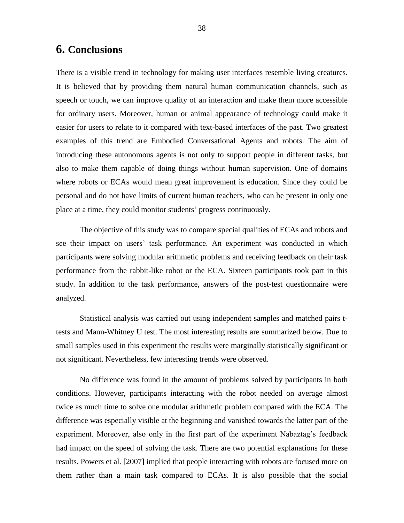# <span id="page-41-0"></span>**6. Conclusions**

There is a visible trend in technology for making user interfaces resemble living creatures. It is believed that by providing them natural human communication channels, such as speech or touch, we can improve quality of an interaction and make them more accessible for ordinary users. Moreover, human or animal appearance of technology could make it easier for users to relate to it compared with text-based interfaces of the past. Two greatest examples of this trend are Embodied Conversational Agents and robots. The aim of introducing these autonomous agents is not only to support people in different tasks, but also to make them capable of doing things without human supervision. One of domains where robots or ECAs would mean great improvement is education. Since they could be personal and do not have limits of current human teachers, who can be present in only one place at a time, they could monitor students" progress continuously.

The objective of this study was to compare special qualities of ECAs and robots and see their impact on users" task performance. An experiment was conducted in which participants were solving modular arithmetic problems and receiving feedback on their task performance from the rabbit-like robot or the ECA. Sixteen participants took part in this study. In addition to the task performance, answers of the post-test questionnaire were analyzed.

Statistical analysis was carried out using independent samples and matched pairs ttests and Mann-Whitney U test. The most interesting results are summarized below. Due to small samples used in this experiment the results were marginally statistically significant or not significant. Nevertheless, few interesting trends were observed.

No difference was found in the amount of problems solved by participants in both conditions. However, participants interacting with the robot needed on average almost twice as much time to solve one modular arithmetic problem compared with the ECA. The difference was especially visible at the beginning and vanished towards the latter part of the experiment. Moreover, also only in the first part of the experiment Nabaztag's feedback had impact on the speed of solving the task. There are two potential explanations for these results. Powers et al. [2007] implied that people interacting with robots are focused more on them rather than a main task compared to ECAs. It is also possible that the social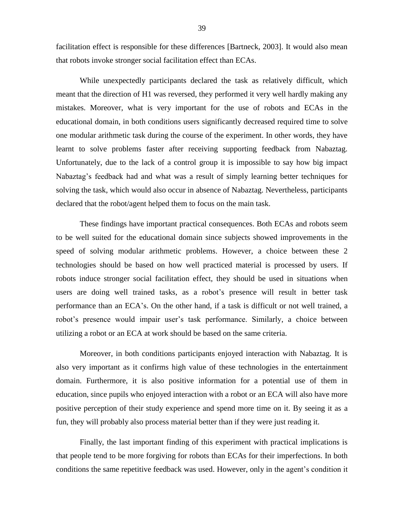facilitation effect is responsible for these differences [Bartneck, 2003]. It would also mean that robots invoke stronger social facilitation effect than ECAs.

While unexpectedly participants declared the task as relatively difficult, which meant that the direction of H1 was reversed, they performed it very well hardly making any mistakes. Moreover, what is very important for the use of robots and ECAs in the educational domain, in both conditions users significantly decreased required time to solve one modular arithmetic task during the course of the experiment. In other words, they have learnt to solve problems faster after receiving supporting feedback from Nabaztag. Unfortunately, due to the lack of a control group it is impossible to say how big impact Nabaztag's feedback had and what was a result of simply learning better techniques for solving the task, which would also occur in absence of Nabaztag. Nevertheless, participants declared that the robot/agent helped them to focus on the main task.

These findings have important practical consequences. Both ECAs and robots seem to be well suited for the educational domain since subjects showed improvements in the speed of solving modular arithmetic problems. However, a choice between these 2 technologies should be based on how well practiced material is processed by users. If robots induce stronger social facilitation effect, they should be used in situations when users are doing well trained tasks, as a robot"s presence will result in better task performance than an ECA"s. On the other hand, if a task is difficult or not well trained, a robot"s presence would impair user"s task performance. Similarly, a choice between utilizing a robot or an ECA at work should be based on the same criteria.

Moreover, in both conditions participants enjoyed interaction with Nabaztag. It is also very important as it confirms high value of these technologies in the entertainment domain. Furthermore, it is also positive information for a potential use of them in education, since pupils who enjoyed interaction with a robot or an ECA will also have more positive perception of their study experience and spend more time on it. By seeing it as a fun, they will probably also process material better than if they were just reading it.

Finally, the last important finding of this experiment with practical implications is that people tend to be more forgiving for robots than ECAs for their imperfections. In both conditions the same repetitive feedback was used. However, only in the agent's condition it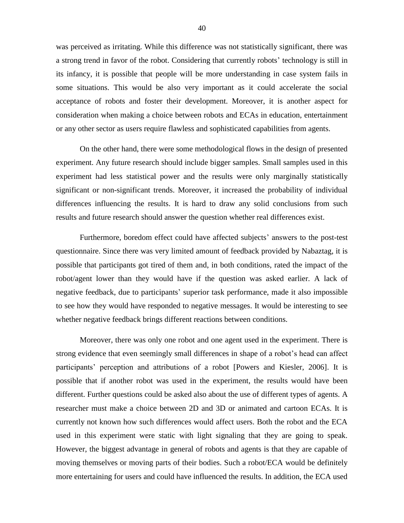was perceived as irritating. While this difference was not statistically significant, there was a strong trend in favor of the robot. Considering that currently robots' technology is still in its infancy, it is possible that people will be more understanding in case system fails in some situations. This would be also very important as it could accelerate the social acceptance of robots and foster their development. Moreover, it is another aspect for consideration when making a choice between robots and ECAs in education, entertainment or any other sector as users require flawless and sophisticated capabilities from agents.

On the other hand, there were some methodological flows in the design of presented experiment. Any future research should include bigger samples. Small samples used in this experiment had less statistical power and the results were only marginally statistically significant or non-significant trends. Moreover, it increased the probability of individual differences influencing the results. It is hard to draw any solid conclusions from such results and future research should answer the question whether real differences exist.

Furthermore, boredom effect could have affected subjects' answers to the post-test questionnaire. Since there was very limited amount of feedback provided by Nabaztag, it is possible that participants got tired of them and, in both conditions, rated the impact of the robot/agent lower than they would have if the question was asked earlier. A lack of negative feedback, due to participants' superior task performance, made it also impossible to see how they would have responded to negative messages. It would be interesting to see whether negative feedback brings different reactions between conditions.

Moreover, there was only one robot and one agent used in the experiment. There is strong evidence that even seemingly small differences in shape of a robot"s head can affect participants" perception and attributions of a robot [Powers and Kiesler, 2006]. It is possible that if another robot was used in the experiment, the results would have been different. Further questions could be asked also about the use of different types of agents. A researcher must make a choice between 2D and 3D or animated and cartoon ECAs. It is currently not known how such differences would affect users. Both the robot and the ECA used in this experiment were static with light signaling that they are going to speak. However, the biggest advantage in general of robots and agents is that they are capable of moving themselves or moving parts of their bodies. Such a robot/ECA would be definitely more entertaining for users and could have influenced the results. In addition, the ECA used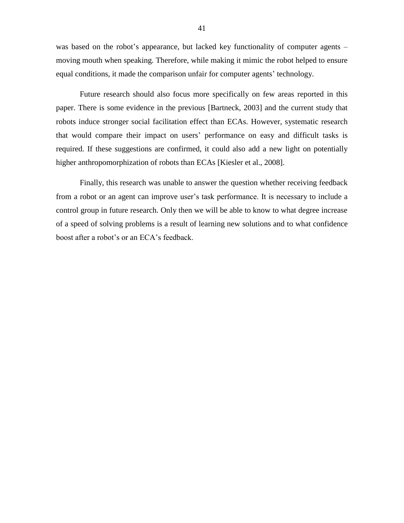was based on the robot's appearance, but lacked key functionality of computer agents – moving mouth when speaking. Therefore, while making it mimic the robot helped to ensure equal conditions, it made the comparison unfair for computer agents' technology.

Future research should also focus more specifically on few areas reported in this paper. There is some evidence in the previous [Bartneck, 2003] and the current study that robots induce stronger social facilitation effect than ECAs. However, systematic research that would compare their impact on users" performance on easy and difficult tasks is required. If these suggestions are confirmed, it could also add a new light on potentially higher anthropomorphization of robots than ECAs [Kiesler et al., 2008].

Finally, this research was unable to answer the question whether receiving feedback from a robot or an agent can improve user's task performance. It is necessary to include a control group in future research. Only then we will be able to know to what degree increase of a speed of solving problems is a result of learning new solutions and to what confidence boost after a robot's or an ECA's feedback.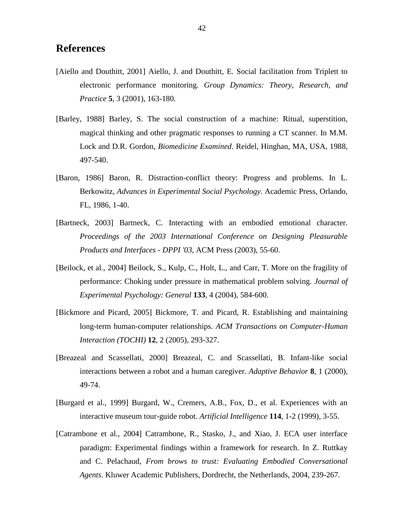### <span id="page-45-0"></span>**References**

- [Aiello and Douthitt, 2001] Aiello, J. and Douthitt, E. Social facilitation from Triplett to electronic performance monitoring. *Group Dynamics: Theory, Research, and Practice* **5**, 3 (2001), 163-180.
- [Barley, 1988] Barley, S. The social construction of a machine: Ritual, superstition, magical thinking and other pragmatic responses to running a CT scanner. In M.M. Lock and D.R. Gordon, *Biomedicine Examined*. Reidel, Hinghan, MA, USA, 1988, 497-540.
- [Baron, 1986] Baron, R. Distraction-conflict theory: Progress and problems. In L. Berkowitz, *Advances in Experimental Social Psychology*. Academic Press, Orlando, FL, 1986, 1-40.
- [Bartneck, 2003] Bartneck, C. Interacting with an embodied emotional character. *Proceedings of the 2003 International Conference on Designing Pleasurable Products and Interfaces - DPPI '03*, ACM Press (2003), 55-60.
- [Beilock, et al., 2004] Beilock, S., Kulp, C., Holt, L., and Carr, T. More on the fragility of performance: Choking under pressure in mathematical problem solving. *Journal of Experimental Psychology: General* **133**, 4 (2004), 584-600.
- [Bickmore and Picard, 2005] Bickmore, T. and Picard, R. Establishing and maintaining long-term human-computer relationships. *ACM Transactions on Computer-Human Interaction (TOCHI)* **12**, 2 (2005), 293-327.
- [Breazeal and Scassellati, 2000] Breazeal, C. and Scassellati, B. Infant-like social interactions between a robot and a human caregiver. *Adaptive Behavior* **8**, 1 (2000), 49-74.
- [Burgard et al., 1999] Burgard, W., Cremers, A.B., Fox, D., et al. Experiences with an interactive museum tour-guide robot. *Artificial Intelligence* **114**, 1-2 (1999), 3-55.
- [Catrambone et al., 2004] Catrambone, R., Stasko, J., and Xiao, J. ECA user interface paradigm: Experimental findings within a framework for research. In Z. Ruttkay and C. Pelachaud, *From brows to trust: Evaluating Embodied Conversational Agents*. Kluwer Academic Publishers, Dordrecht, the Netherlands, 2004, 239-267.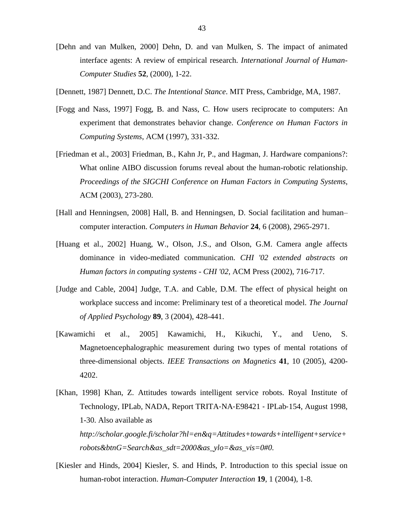- [Dehn and van Mulken, 2000] Dehn, D. and van Mulken, S. The impact of animated interface agents: A review of empirical research. *International Journal of Human-Computer Studies* **52**, (2000), 1-22.
- [Dennett, 1987] Dennett, D.C. *The Intentional Stance*. MIT Press, Cambridge, MA, 1987.
- [Fogg and Nass, 1997] Fogg, B. and Nass, C. How users reciprocate to computers: An experiment that demonstrates behavior change. *Conference on Human Factors in Computing Systems*, ACM (1997), 331-332.
- [Friedman et al., 2003] Friedman, B., Kahn Jr, P., and Hagman, J. Hardware companions?: What online AIBO discussion forums reveal about the human-robotic relationship. *Proceedings of the SIGCHI Conference on Human Factors in Computing Systems*, ACM (2003), 273-280.
- [Hall and Henningsen, 2008] Hall, B. and Henningsen, D. Social facilitation and human– computer interaction. *Computers in Human Behavior* **24**, 6 (2008), 2965-2971.
- [Huang et al., 2002] Huang, W., Olson, J.S., and Olson, G.M. Camera angle affects dominance in video-mediated communication. *CHI '02 extended abstracts on Human factors in computing systems - CHI '02,* ACM Press (2002), 716-717.
- [Judge and Cable, 2004] Judge, T.A. and Cable, D.M. The effect of physical height on workplace success and income: Preliminary test of a theoretical model. *The Journal of Applied Psychology* **89**, 3 (2004), 428-441.
- [Kawamichi et al., 2005] Kawamichi, H., Kikuchi, Y., and Ueno, S. Magnetoencephalographic measurement during two types of mental rotations of three-dimensional objects. *IEEE Transactions on Magnetics* **41**, 10 (2005), 4200- 4202.
- [Khan, 1998] Khan, Z. Attitudes towards intelligent service robots. Royal Institute of Technology, IPLab, NADA, Report TRITA‐NA‐E98421 ‐ IPLab‐154, August 1998, 1-30. Also available as *http://scholar.google.fi/scholar?hl=en&q=Attitudes+towards+intelligent+service+ robots&btnG=Search&as\_sdt=2000&as\_ylo=&as\_vis=0#0.*
- [Kiesler and Hinds, 2004] Kiesler, S. and Hinds, P. Introduction to this special issue on human-robot interaction. *Human-Computer Interaction* **19**, 1 (2004), 1-8.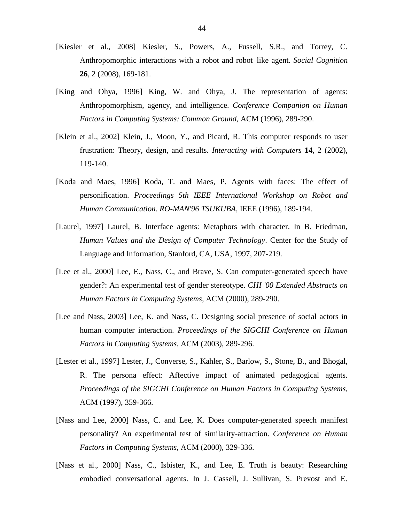- [Kiesler et al., 2008] Kiesler, S., Powers, A., Fussell, S.R., and Torrey, C. Anthropomorphic interactions with a robot and robot–like agent. *Social Cognition*  **26**, 2 (2008), 169-181.
- [King and Ohya, 1996] King, W. and Ohya, J. The representation of agents: Anthropomorphism, agency, and intelligence. *Conference Companion on Human Factors in Computing Systems: Common Ground*, ACM (1996), 289-290.
- [Klein et al., 2002] Klein, J., Moon, Y., and Picard, R. This computer responds to user frustration: Theory, design, and results. *Interacting with Computers* **14**, 2 (2002), 119-140.
- [Koda and Maes, 1996] Koda, T. and Maes, P. Agents with faces: The effect of personification. *Proceedings 5th IEEE International Workshop on Robot and Human Communication. RO-MAN'96 TSUKUBA*, IEEE (1996), 189-194.
- [Laurel, 1997] Laurel, B. Interface agents: Metaphors with character. In B. Friedman, *Human Values and the Design of Computer Technology*. Center for the Study of Language and Information, Stanford, CA, USA, 1997, 207-219.
- [Lee et al., 2000] Lee, E., Nass, C., and Brave, S. Can computer-generated speech have gender?: An experimental test of gender stereotype. *CHI '00 Extended Abstracts on Human Factors in Computing Systems*, ACM (2000), 289-290.
- [Lee and Nass, 2003] Lee, K. and Nass, C. Designing social presence of social actors in human computer interaction. *Proceedings of the SIGCHI Conference on Human Factors in Computing Systems*, ACM (2003), 289-296.
- [Lester et al., 1997] Lester, J., Converse, S., Kahler, S., Barlow, S., Stone, B., and Bhogal, R. The persona effect: Affective impact of animated pedagogical agents. *Proceedings of the SIGCHI Conference on Human Factors in Computing Systems*, ACM (1997), 359-366.
- [Nass and Lee, 2000] Nass, C. and Lee, K. Does computer-generated speech manifest personality? An experimental test of similarity-attraction. *Conference on Human Factors in Computing Systems*, ACM (2000), 329-336.
- [Nass et al., 2000] Nass, C., Isbister, K., and Lee, E. Truth is beauty: Researching embodied conversational agents. In J. Cassell, J. Sullivan, S. Prevost and E.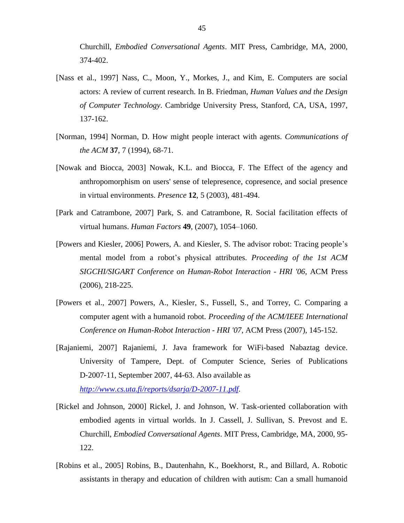Churchill, *Embodied Conversational Agents*. MIT Press, Cambridge, MA, 2000, 374-402.

- [Nass et al., 1997] Nass, C., Moon, Y., Morkes, J., and Kim, E. Computers are social actors: A review of current research. In B. Friedman, *Human Values and the Design of Computer Technology*. Cambridge University Press, Stanford, CA, USA, 1997, 137-162.
- [Norman, 1994] Norman, D. How might people interact with agents. *Communications of the ACM* **37**, 7 (1994), 68-71.
- [Nowak and Biocca, 2003] Nowak, K.L. and Biocca, F. The Effect of the agency and anthropomorphism on users' sense of telepresence, copresence, and social presence in virtual environments. *Presence* **12**, 5 (2003), 481-494.
- [Park and Catrambone, 2007] Park, S. and Catrambone, R. Social facilitation effects of virtual humans. *Human Factors* **49**, (2007), 1054–1060.
- [Powers and Kiesler, 2006] Powers, A. and Kiesler, S. The advisor robot: Tracing people"s mental model from a robot"s physical attributes. *Proceeding of the 1st ACM SIGCHI/SIGART Conference on Human-Robot Interaction - HRI '06*, ACM Press (2006), 218-225.
- [Powers et al., 2007] Powers, A., Kiesler, S., Fussell, S., and Torrey, C. Comparing a computer agent with a humanoid robot. *Proceeding of the ACM/IEEE International Conference on Human-Robot Interaction - HRI '07*, ACM Press (2007), 145-152.
- [Rajaniemi, 2007] Rajaniemi, J. Java framework for WiFi-based Nabaztag device. University of Tampere, Dept. of Computer Science, Series of Publications D‐2007‐11, September 2007, 44-63. Also available as *<http://www.cs.uta.fi/reports/dsarja/D-2007-11.pdf>*.
- [Rickel and Johnson, 2000] Rickel, J. and Johnson, W. Task-oriented collaboration with embodied agents in virtual worlds. In J. Cassell, J. Sullivan, S. Prevost and E. Churchill, *Embodied Conversational Agents*. MIT Press, Cambridge, MA, 2000, 95- 122.
- [Robins et al., 2005] Robins, B., Dautenhahn, K., Boekhorst, R., and Billard, A. Robotic assistants in therapy and education of children with autism: Can a small humanoid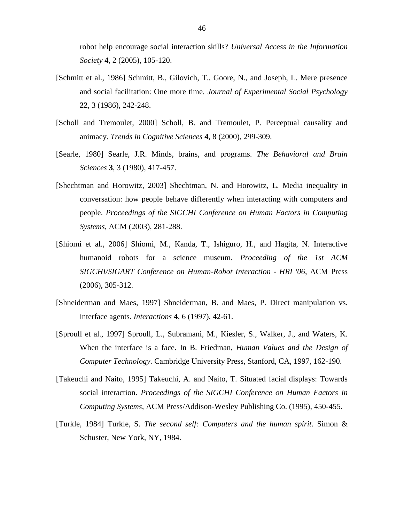robot help encourage social interaction skills? *Universal Access in the Information Society* **4**, 2 (2005), 105-120.

- [Schmitt et al., 1986] Schmitt, B., Gilovich, T., Goore, N., and Joseph, L. Mere presence and social facilitation: One more time. *Journal of Experimental Social Psychology*  **22**, 3 (1986), 242-248.
- [Scholl and Tremoulet, 2000] Scholl, B. and Tremoulet, P. Perceptual causality and animacy. *Trends in Cognitive Sciences* **4**, 8 (2000), 299-309.
- [Searle, 1980] Searle, J.R. Minds, brains, and programs. *The Behavioral and Brain Sciences* **3**, 3 (1980), 417-457.
- [Shechtman and Horowitz, 2003] Shechtman, N. and Horowitz, L. Media inequality in conversation: how people behave differently when interacting with computers and people. *Proceedings of the SIGCHI Conference on Human Factors in Computing Systems*, ACM (2003), 281-288.
- [Shiomi et al., 2006] Shiomi, M., Kanda, T., Ishiguro, H., and Hagita, N. Interactive humanoid robots for a science museum. *Proceeding of the 1st ACM SIGCHI/SIGART Conference on Human-Robot Interaction - HRI '06*, ACM Press (2006), 305-312.
- [Shneiderman and Maes, 1997] Shneiderman, B. and Maes, P. Direct manipulation vs. interface agents. *Interactions* **4**, 6 (1997), 42-61.
- [Sproull et al., 1997] Sproull, L., Subramani, M., Kiesler, S., Walker, J., and Waters, K. When the interface is a face. In B. Friedman, *Human Values and the Design of Computer Technology*. Cambridge University Press, Stanford, CA, 1997, 162-190.
- [Takeuchi and Naito, 1995] Takeuchi, A. and Naito, T. Situated facial displays: Towards social interaction. *Proceedings of the SIGCHI Conference on Human Factors in Computing Systems*, ACM Press/Addison-Wesley Publishing Co. (1995), 450-455.
- [Turkle, 1984] Turkle, S. *The second self: Computers and the human spirit*. Simon & Schuster, New York, NY, 1984.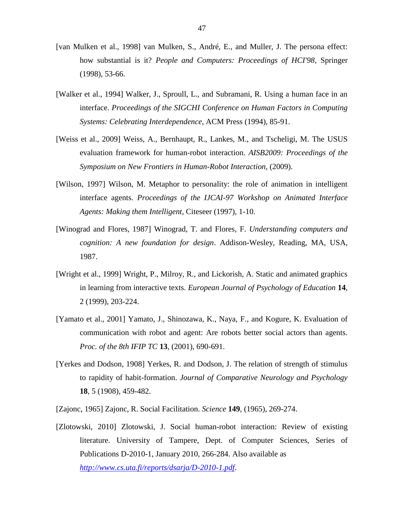- [van Mulken et al., 1998] van Mulken, S., André, E., and Muller, J. The persona effect: how substantial is it? *People and Computers: Proceedings of HCI'98*, Springer (1998), 53-66.
- [Walker et al., 1994] Walker, J., Sproull, L., and Subramani, R. Using a human face in an interface. *Proceedings of the SIGCHI Conference on Human Factors in Computing Systems: Celebrating Interdependence*, ACM Press (1994), 85-91.
- [Weiss et al., 2009] Weiss, A., Bernhaupt, R., Lankes, M., and Tscheligi, M. The USUS evaluation framework for human-robot interaction. *AISB2009: Proceedings of the Symposium on New Frontiers in Human-Robot Interaction*, (2009).
- [Wilson, 1997] Wilson, M. Metaphor to personality: the role of animation in intelligent interface agents. *Proceedings of the IJCAI-97 Workshop on Animated Interface Agents: Making them Intelligent*, Citeseer (1997), 1-10.
- [Winograd and Flores, 1987] Winograd, T. and Flores, F. *Understanding computers and cognition: A new foundation for design*. Addison-Wesley, Reading, MA, USA, 1987.
- [Wright et al., 1999] Wright, P., Milroy, R., and Lickorish, A. Static and animated graphics in learning from interactive texts. *European Journal of Psychology of Education* **14**, 2 (1999), 203-224.
- [Yamato et al., 2001] Yamato, J., Shinozawa, K., Naya, F., and Kogure, K. Evaluation of communication with robot and agent: Are robots better social actors than agents. *Proc. of the 8th IFIP TC* **13**, (2001), 690-691.
- [Yerkes and Dodson, 1908] Yerkes, R. and Dodson, J. The relation of strength of stimulus to rapidity of habit-formation. *Journal of Comparative Neurology and Psychology*  **18**, 5 (1908), 459-482.
- [Zajonc, 1965] Zajonc, R. Social Facilitation. *Science* **149**, (1965), 269-274.
- [Zlotowski, 2010] Zlotowski, J. Social human-robot interaction: Review of existing literature. University of Tampere, Dept. of Computer Sciences, Series of Publications D-2010-1, January 2010, 266-284. Also available as *<http://www.cs.uta.fi/reports/dsarja/D-2010-1.pdf>*.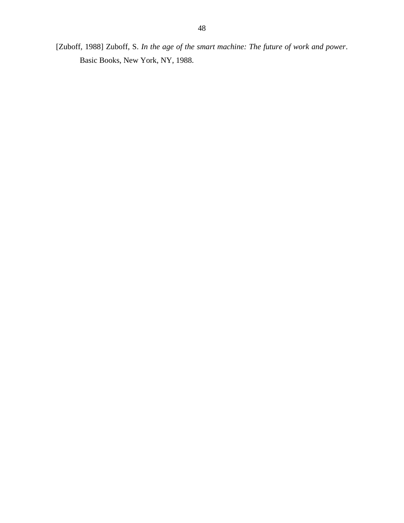[Zuboff, 1988] Zuboff, S. *In the age of the smart machine: The future of work and power*. Basic Books, New York, NY, 1988.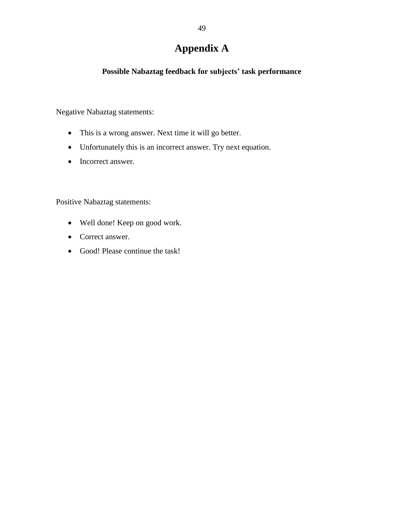# **Appendix A**

### <span id="page-52-0"></span>**Possible Nabaztag feedback for subjects' task performance**

Negative Nabaztag statements:

- This is a wrong answer. Next time it will go better.
- Unfortunately this is an incorrect answer. Try next equation.
- Incorrect answer.

Positive Nabaztag statements:

- Well done! Keep on good work.
- Correct answer.
- Good! Please continue the task!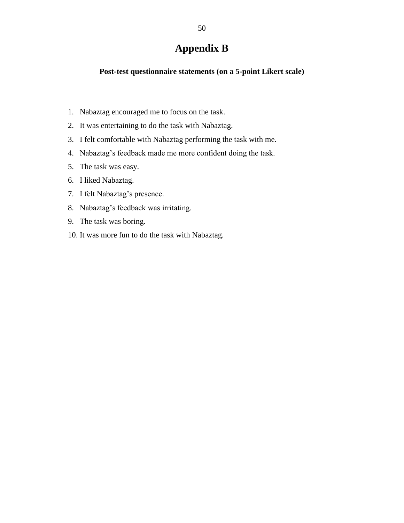# **Appendix B**

#### <span id="page-53-0"></span>**Post-test questionnaire statements (on a 5-point Likert scale)**

- 1. Nabaztag encouraged me to focus on the task.
- 2. It was entertaining to do the task with Nabaztag.
- 3. I felt comfortable with Nabaztag performing the task with me.
- 4. Nabaztag"s feedback made me more confident doing the task.
- 5. The task was easy.
- 6. I liked Nabaztag.
- 7. I felt Nabaztag"s presence.
- 8. Nabaztag"s feedback was irritating.
- 9. The task was boring.
- 10. It was more fun to do the task with Nabaztag.